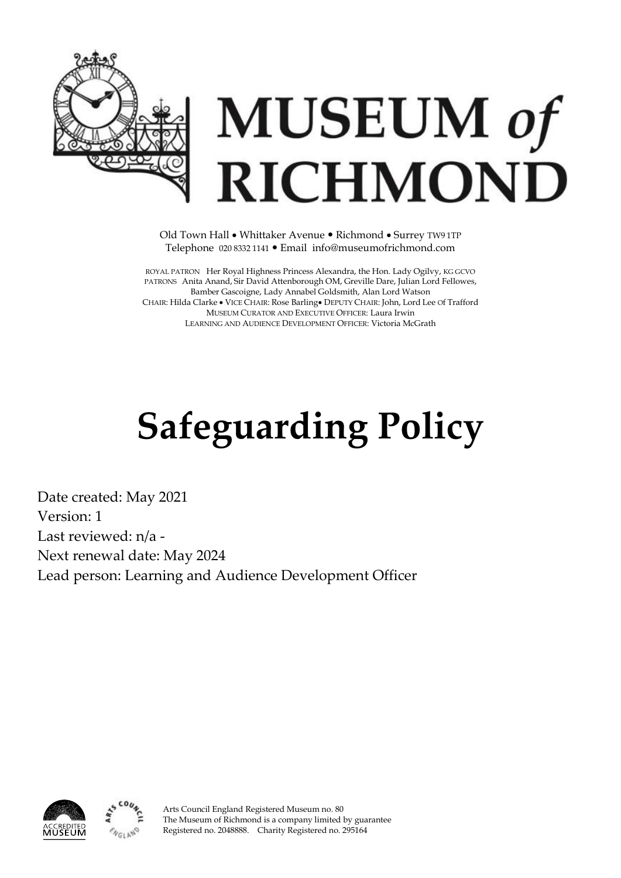

Old Town Hall • Whittaker Avenue • Richmond • Surrey TW91TP Telephone 020 8332 1141 Email info@museumofrichmond.com

ROYAL PATRON Her Royal Highness Princess Alexandra, the Hon. Lady Ogilvy, KG GCVO PATRONS Anita Anand, Sir David Attenborough OM, Greville Dare, Julian Lord Fellowes, Bamber Gascoigne, Lady Annabel Goldsmith, Alan Lord Watson CHAIR: Hilda Clarke • VICE CHAIR: Rose Barling• DEPUTY CHAIR: John, Lord Lee Of Trafford MUSEUM CURATOR AND EXECUTIVE OFFICER: Laura Irwin LEARNING AND AUDIENCE DEVELOPMENT OFFICER: Victoria McGrath

# **Safeguarding Policy**

Date created: May 2021 Version: 1 Last reviewed: n/a - Next renewal date: May 2024 Lead person: Learning and Audience Development Officer





Arts Council England Registered Museum no. 80 The Museum of Richmond is a company limited by guarantee Registered no. 2048888. Charity Registered no. 295164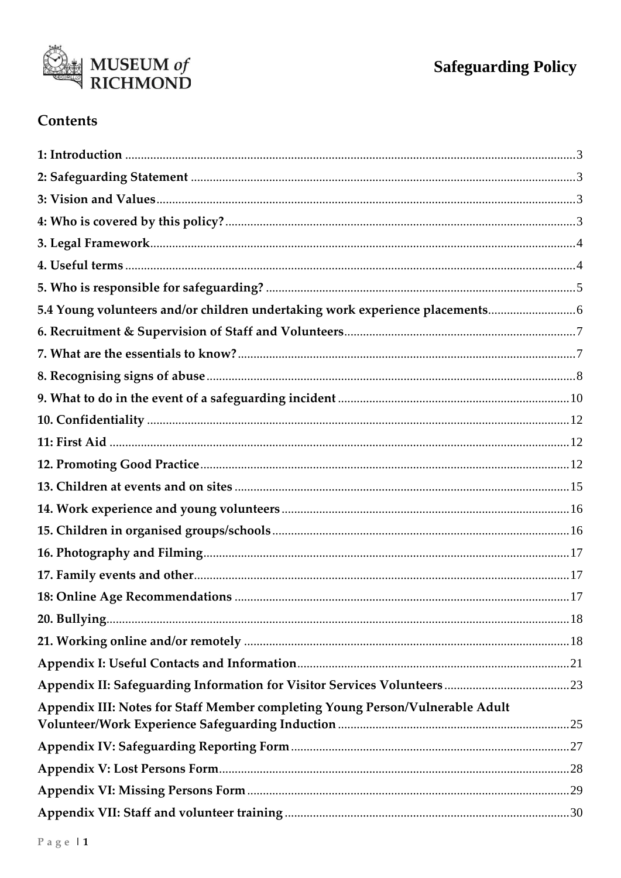

# Contents

| 5.4 Young volunteers and/or children undertaking work experience placements   |  |
|-------------------------------------------------------------------------------|--|
|                                                                               |  |
|                                                                               |  |
|                                                                               |  |
|                                                                               |  |
|                                                                               |  |
|                                                                               |  |
|                                                                               |  |
|                                                                               |  |
|                                                                               |  |
|                                                                               |  |
|                                                                               |  |
|                                                                               |  |
|                                                                               |  |
|                                                                               |  |
|                                                                               |  |
|                                                                               |  |
|                                                                               |  |
| Appendix III: Notes for Staff Member completing Young Person/Vulnerable Adult |  |
|                                                                               |  |
|                                                                               |  |
|                                                                               |  |
|                                                                               |  |
|                                                                               |  |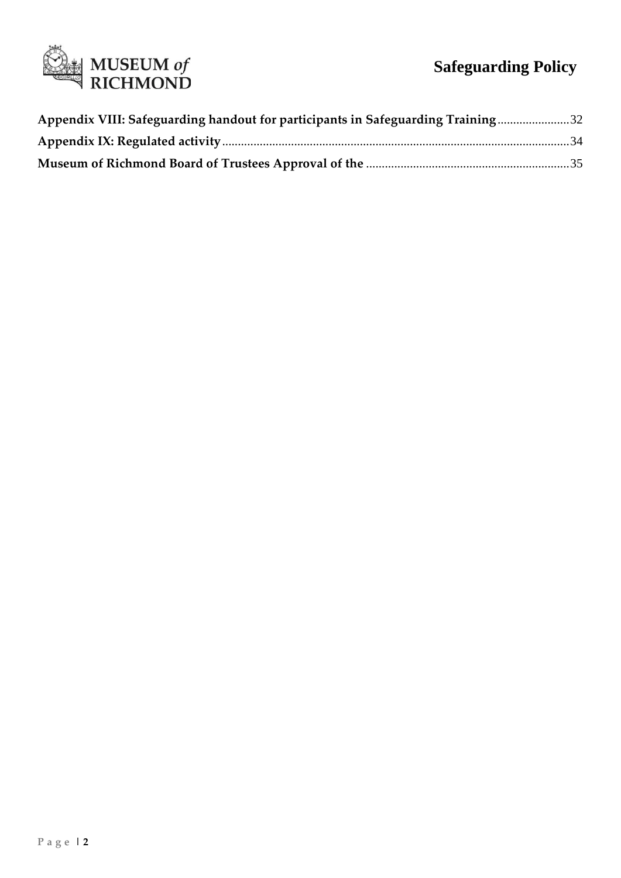

| Appendix VIII: Safeguarding handout for participants in Safeguarding Training32 |  |
|---------------------------------------------------------------------------------|--|
|                                                                                 |  |
|                                                                                 |  |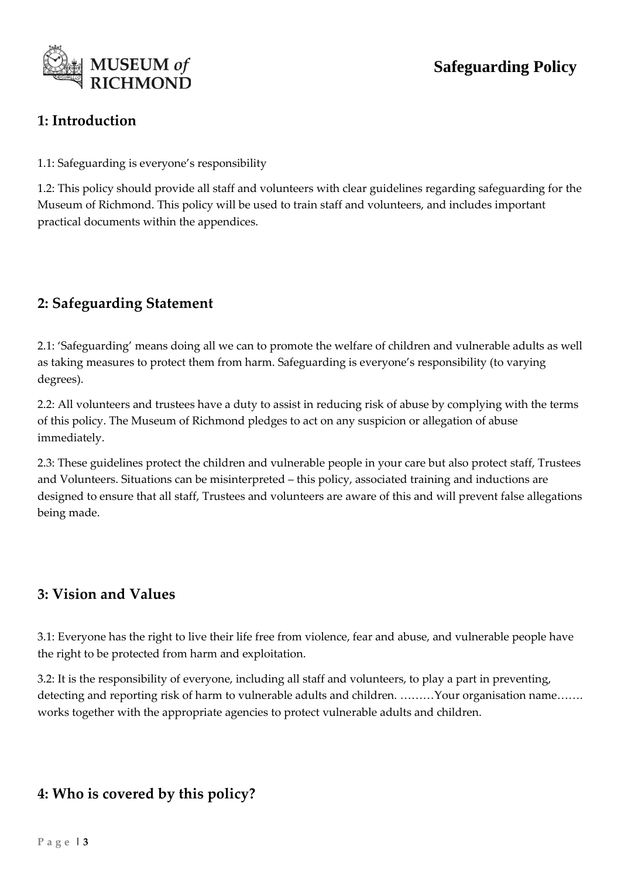

## <span id="page-3-0"></span>**1: Introduction**

1.1: Safeguarding is everyone's responsibility

1.2: This policy should provide all staff and volunteers with clear guidelines regarding safeguarding for the Museum of Richmond. This policy will be used to train staff and volunteers, and includes important practical documents within the appendices.

## <span id="page-3-1"></span>**2: Safeguarding Statement**

2.1: 'Safeguarding' means doing all we can to promote the welfare of children and vulnerable adults as well as taking measures to protect them from harm. Safeguarding is everyone's responsibility (to varying degrees).

2.2: All volunteers and trustees have a duty to assist in reducing risk of abuse by complying with the terms of this policy. The Museum of Richmond pledges to act on any suspicion or allegation of abuse immediately.

2.3: These guidelines protect the children and vulnerable people in your care but also protect staff, Trustees and Volunteers. Situations can be misinterpreted – this policy, associated training and inductions are designed to ensure that all staff, Trustees and volunteers are aware of this and will prevent false allegations being made.

## <span id="page-3-2"></span>**3: Vision and Values**

3.1: Everyone has the right to live their life free from violence, fear and abuse, and vulnerable people have the right to be protected from harm and exploitation.

3.2: It is the responsibility of everyone, including all staff and volunteers, to play a part in preventing, detecting and reporting risk of harm to vulnerable adults and children. ………Your organisation name……. works together with the appropriate agencies to protect vulnerable adults and children.

## <span id="page-3-3"></span>**4: Who is covered by this policy?**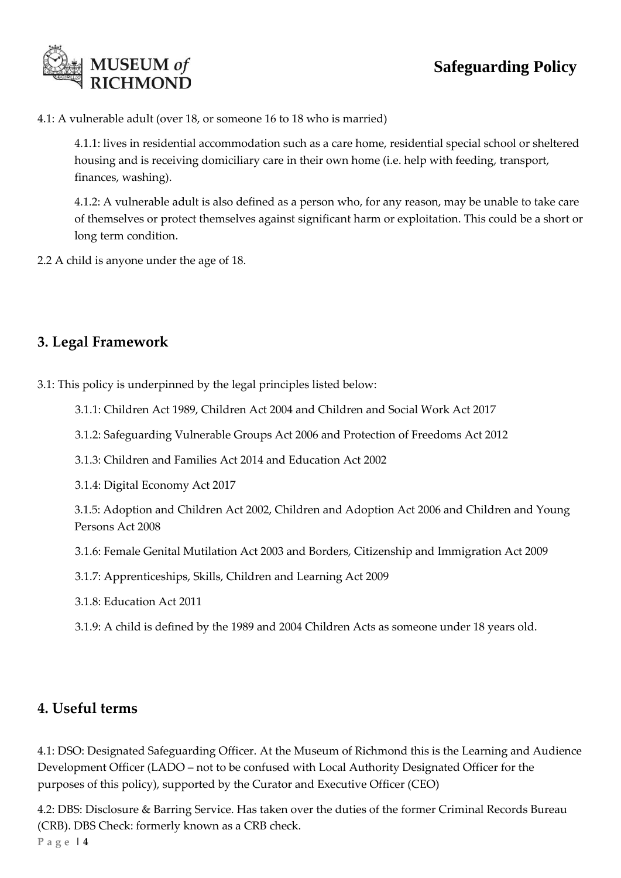

4.1: A vulnerable adult (over 18, or someone 16 to 18 who is married)

4.1.1: lives in residential accommodation such as a care home, residential special school or sheltered housing and is receiving domiciliary care in their own home (i.e. help with feeding, transport, finances, washing).

4.1.2: A vulnerable adult is also defined as a person who, for any reason, may be unable to take care of themselves or protect themselves against significant harm or exploitation. This could be a short or long term condition.

2.2 A child is anyone under the age of 18.

## <span id="page-4-0"></span>**3. Legal Framework**

3.1: This policy is underpinned by the legal principles listed below:

- 3.1.1: Children Act 1989, Children Act 2004 and Children and Social Work Act 2017
- 3.1.2: Safeguarding Vulnerable Groups Act 2006 and Protection of Freedoms Act 2012
- 3.1.3: Children and Families Act 2014 and Education Act 2002
- 3.1.4: Digital Economy Act 2017

3.1.5: Adoption and Children Act 2002, Children and Adoption Act 2006 and Children and Young Persons Act 2008

3.1.6: Female Genital Mutilation Act 2003 and Borders, Citizenship and Immigration Act 2009

3.1.7: Apprenticeships, Skills, Children and Learning Act 2009

3.1.8: Education Act 2011

3.1.9: A child is defined by the 1989 and 2004 Children Acts as someone under 18 years old.

#### <span id="page-4-1"></span>**4. Useful terms**

4.1: DSO: Designated Safeguarding Officer. At the Museum of Richmond this is the Learning and Audience Development Officer (LADO – not to be confused with Local Authority Designated Officer for the purposes of this policy), supported by the Curator and Executive Officer (CEO)

4.2: DBS: Disclosure & Barring Service. Has taken over the duties of the former Criminal Records Bureau (CRB). DBS Check: formerly known as a CRB check.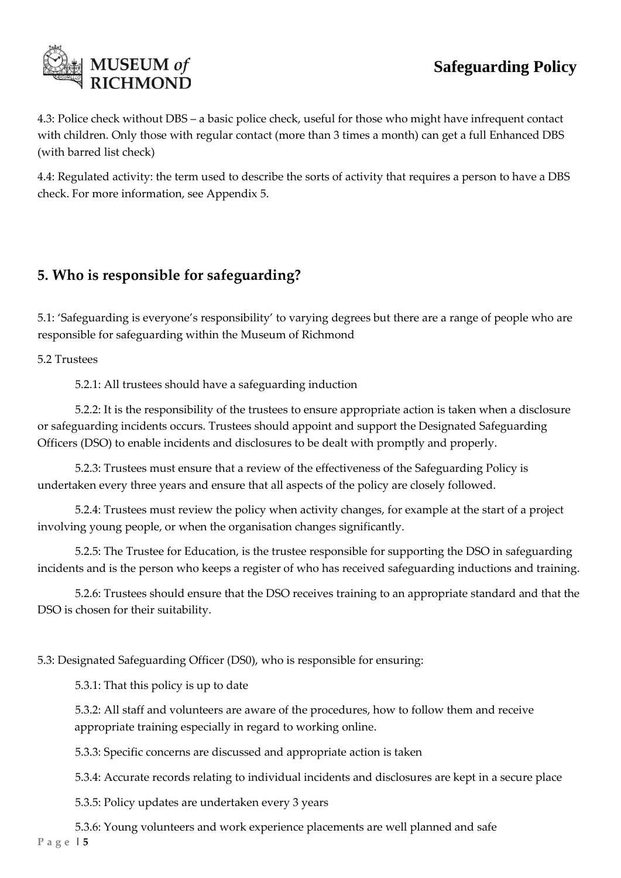

4.3: Police check without DBS – a basic police check, useful for those who might have infrequent contact with children. Only those with regular contact (more than 3 times a month) can get a full Enhanced DBS (with barred list check)

4.4: Regulated activity: the term used to describe the sorts of activity that requires a person to have a DBS check. For more information, see Appendix 5.

## <span id="page-5-0"></span>**5. Who is responsible for safeguarding?**

5.1: 'Safeguarding is everyone's responsibility' to varying degrees but there are a range of people who are responsible for safeguarding within the Museum of Richmond

5.2 Trustees

5.2.1: All trustees should have a safeguarding induction

5.2.2: It is the responsibility of the trustees to ensure appropriate action is taken when a disclosure or safeguarding incidents occurs. Trustees should appoint and support the Designated Safeguarding Officers (DSO) to enable incidents and disclosures to be dealt with promptly and properly.

5.2.3: Trustees must ensure that a review of the effectiveness of the Safeguarding Policy is undertaken every three years and ensure that all aspects of the policy are closely followed.

5.2.4: Trustees must review the policy when activity changes, for example at the start of a project involving young people, or when the organisation changes significantly.

5.2.5: The Trustee for Education, is the trustee responsible for supporting the DSO in safeguarding incidents and is the person who keeps a register of who has received safeguarding inductions and training.

5.2.6: Trustees should ensure that the DSO receives training to an appropriate standard and that the DSO is chosen for their suitability.

5.3: Designated Safeguarding Officer (DS0), who is responsible for ensuring:

5.3.1: That this policy is up to date

5.3.2: All staff and volunteers are aware of the procedures, how to follow them and receive appropriate training especially in regard to working online.

5.3.3: Specific concerns are discussed and appropriate action is taken

5.3.4: Accurate records relating to individual incidents and disclosures are kept in a secure place

5.3.5: Policy updates are undertaken every 3 years

**P a g e | 5** 5.3.6: Young volunteers and work experience placements are well planned and safe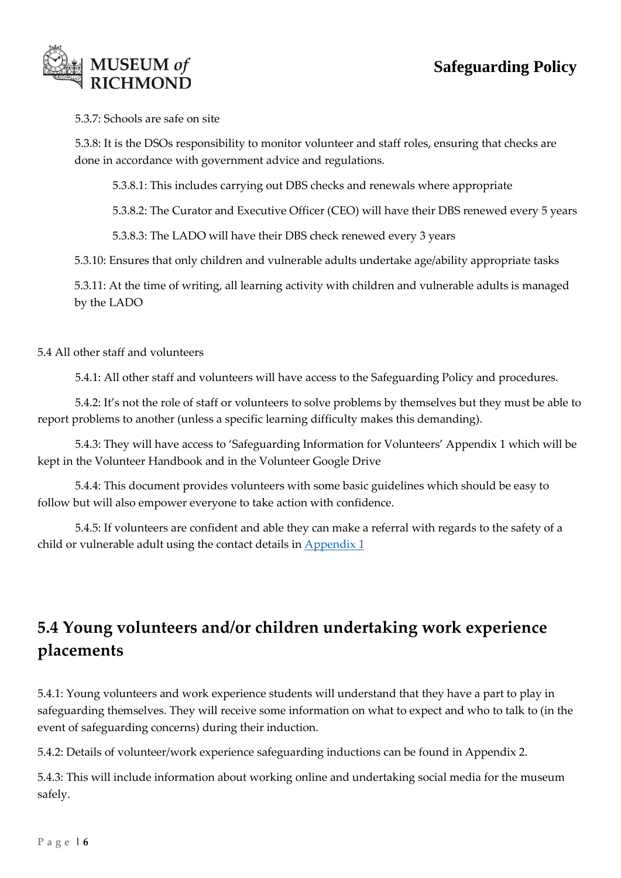

#### 5.3.7: Schools are safe on site

5.3.8: It is the DSOs responsibility to monitor volunteer and staff roles, ensuring that checks are done in accordance with government advice and regulations.

5.3.8.1: This includes carrying out DBS checks and renewals where appropriate

5.3.8.2: The Curator and Executive Officer (CEO) will have their DBS renewed every 5 years

5.3.8.3: The LADO will have their DBS check renewed every 3 years

5.3.10: Ensures that only children and vulnerable adults undertake age/ability appropriate tasks

5.3.11: At the time of writing, all learning activity with children and vulnerable adults is managed by the LADO

5.4 All other staff and volunteers

5.4.1: All other staff and volunteers will have access to the Safeguarding Policy and procedures.

5.4.2: It's not the role of staff or volunteers to solve problems by themselves but they must be able to report problems to another (unless a specific learning difficulty makes this demanding).

5.4.3: They will have access to 'Safeguarding Information for Volunteers' Appendix 1 which will be kept in the Volunteer Handbook and in the Volunteer Google Drive

5.4.4: This document provides volunteers with some basic guidelines which should be easy to follow but will also empower everyone to take action with confidence.

5.4.5: If volunteers are confident and able they can make a referral with regards to the safety of a child or vulnerable adult using the contact details in [Appendix 1](#page-22-0)

# <span id="page-6-0"></span>**5.4 Young volunteers and/or children undertaking work experience placements**

5.4.1: Young volunteers and work experience students will understand that they have a part to play in safeguarding themselves. They will receive some information on what to expect and who to talk to (in the event of safeguarding concerns) during their induction.

5.4.2: Details of volunteer/work experience safeguarding inductions can be found in Appendix 2.

5.4.3: This will include information about working online and undertaking social media for the museum safely.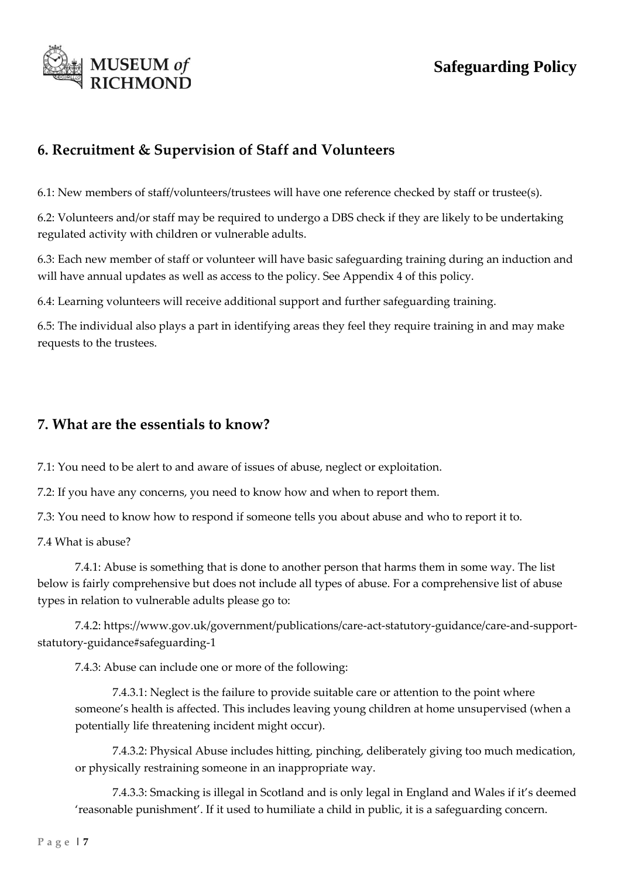

## <span id="page-7-0"></span>**6. Recruitment & Supervision of Staff and Volunteers**

6.1: New members of staff/volunteers/trustees will have one reference checked by staff or trustee(s).

6.2: Volunteers and/or staff may be required to undergo a DBS check if they are likely to be undertaking regulated activity with children or vulnerable adults.

6.3: Each new member of staff or volunteer will have basic safeguarding training during an induction and will have annual updates as well as access to the policy. See Appendix 4 of this policy.

6.4: Learning volunteers will receive additional support and further safeguarding training.

6.5: The individual also plays a part in identifying areas they feel they require training in and may make requests to the trustees.

#### <span id="page-7-1"></span>**7. What are the essentials to know?**

7.1: You need to be alert to and aware of issues of abuse, neglect or exploitation.

7.2: If you have any concerns, you need to know how and when to report them.

7.3: You need to know how to respond if someone tells you about abuse and who to report it to.

7.4 What is abuse?

7.4.1: Abuse is something that is done to another person that harms them in some way. The list below is fairly comprehensive but does not include all types of abuse. For a comprehensive list of abuse types in relation to vulnerable adults please go to:

7.4.2: https://www.gov.uk/government/publications/care-act-statutory-guidance/care-and-supportstatutory-guidance#safeguarding-1

7.4.3: Abuse can include one or more of the following:

7.4.3.1: Neglect is the failure to provide suitable care or attention to the point where someone's health is affected. This includes leaving young children at home unsupervised (when a potentially life threatening incident might occur).

7.4.3.2: Physical Abuse includes hitting, pinching, deliberately giving too much medication, or physically restraining someone in an inappropriate way.

7.4.3.3: Smacking is illegal in Scotland and is only legal in England and Wales if it's deemed 'reasonable punishment'. If it used to humiliate a child in public, it is a safeguarding concern.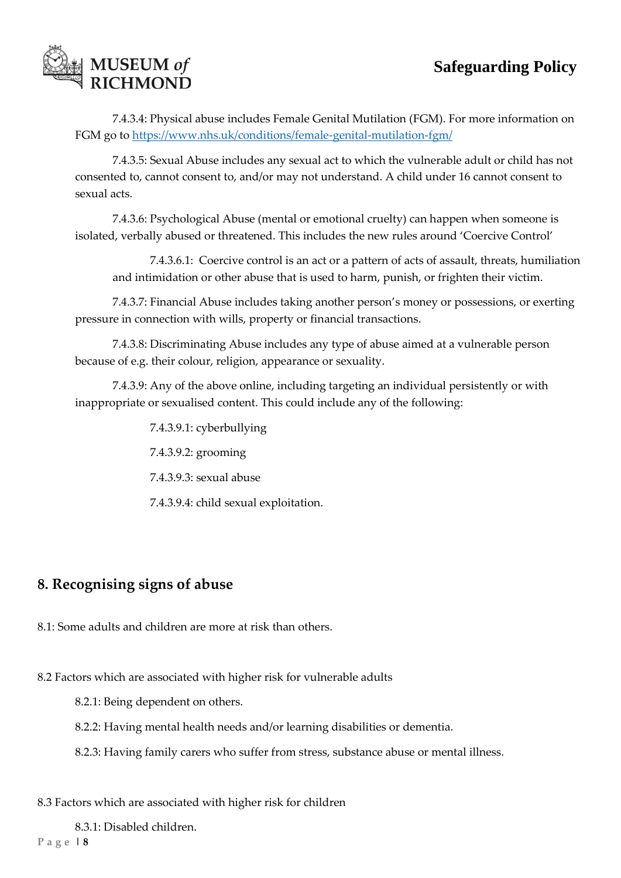

7.4.3.4: Physical abuse includes Female Genital Mutilation (FGM). For more information on FGM go to<https://www.nhs.uk/conditions/female-genital-mutilation-fgm/>

7.4.3.5: Sexual Abuse includes any sexual act to which the vulnerable adult or child has not consented to, cannot consent to, and/or may not understand. A child under 16 cannot consent to sexual acts.

7.4.3.6: Psychological Abuse (mental or emotional cruelty) can happen when someone is isolated, verbally abused or threatened. This includes the new rules around 'Coercive Control'

7.4.3.6.1: Coercive control is an act or a pattern of acts of assault, threats, humiliation and intimidation or other abuse that is used to harm, punish, or frighten their victim.

7.4.3.7: Financial Abuse includes taking another person's money or possessions, or exerting pressure in connection with wills, property or financial transactions.

7.4.3.8: Discriminating Abuse includes any type of abuse aimed at a vulnerable person because of e.g. their colour, religion, appearance or sexuality.

7.4.3.9: Any of the above online, including targeting an individual persistently or with inappropriate or sexualised content. This could include any of the following:

> 7.4.3.9.1: cyberbullying 7.4.3.9.2: grooming 7.4.3.9.3: sexual abuse 7.4.3.9.4: child sexual exploitation.

## <span id="page-8-0"></span>**8. Recognising signs of abuse**

8.1: Some adults and children are more at risk than others.

8.2 Factors which are associated with higher risk for vulnerable adults

8.2.1: Being dependent on others.

8.2.2: Having mental health needs and/or learning disabilities or dementia.

8.2.3: Having family carers who suffer from stress, substance abuse or mental illness.

#### 8.3 Factors which are associated with higher risk for children

8.3.1: Disabled children.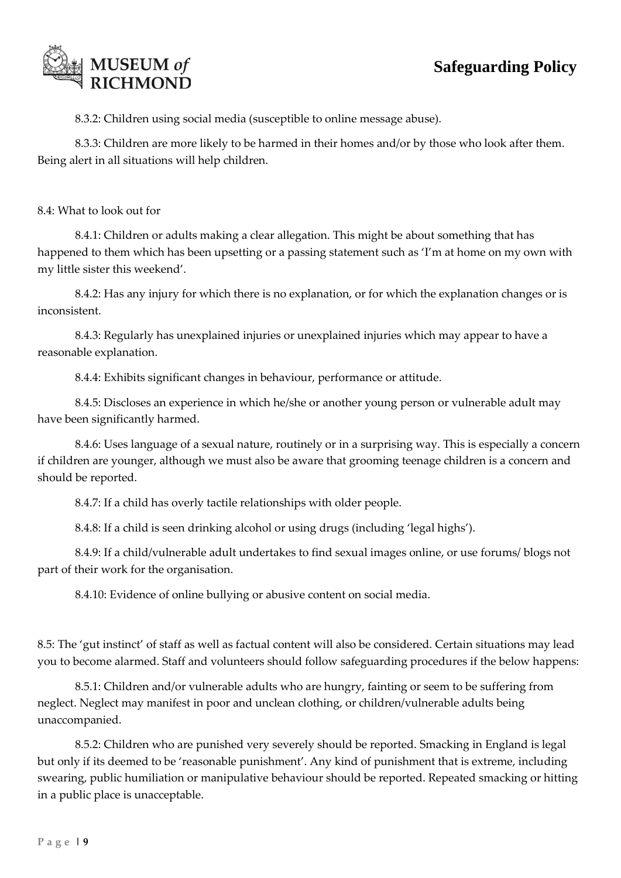

8.3.2: Children using social media (susceptible to online message abuse).

8.3.3: Children are more likely to be harmed in their homes and/or by those who look after them. Being alert in all situations will help children.

#### 8.4: What to look out for

8.4.1: Children or adults making a clear allegation. This might be about something that has happened to them which has been upsetting or a passing statement such as 'I'm at home on my own with my little sister this weekend'.

8.4.2: Has any injury for which there is no explanation, or for which the explanation changes or is inconsistent.

8.4.3: Regularly has unexplained injuries or unexplained injuries which may appear to have a reasonable explanation.

8.4.4: Exhibits significant changes in behaviour, performance or attitude.

8.4.5: Discloses an experience in which he/she or another young person or vulnerable adult may have been significantly harmed.

8.4.6: Uses language of a sexual nature, routinely or in a surprising way. This is especially a concern if children are younger, although we must also be aware that grooming teenage children is a concern and should be reported.

8.4.7: If a child has overly tactile relationships with older people.

8.4.8: If a child is seen drinking alcohol or using drugs (including 'legal highs').

8.4.9: If a child/vulnerable adult undertakes to find sexual images online, or use forums/ blogs not part of their work for the organisation.

8.4.10: Evidence of online bullying or abusive content on social media.

8.5: The 'gut instinct' of staff as well as factual content will also be considered. Certain situations may lead you to become alarmed. Staff and volunteers should follow safeguarding procedures if the below happens:

8.5.1: Children and/or vulnerable adults who are hungry, fainting or seem to be suffering from neglect. Neglect may manifest in poor and unclean clothing, or children/vulnerable adults being unaccompanied.

8.5.2: Children who are punished very severely should be reported. Smacking in England is legal but only if its deemed to be 'reasonable punishment'. Any kind of punishment that is extreme, including swearing, public humiliation or manipulative behaviour should be reported. Repeated smacking or hitting in a public place is unacceptable.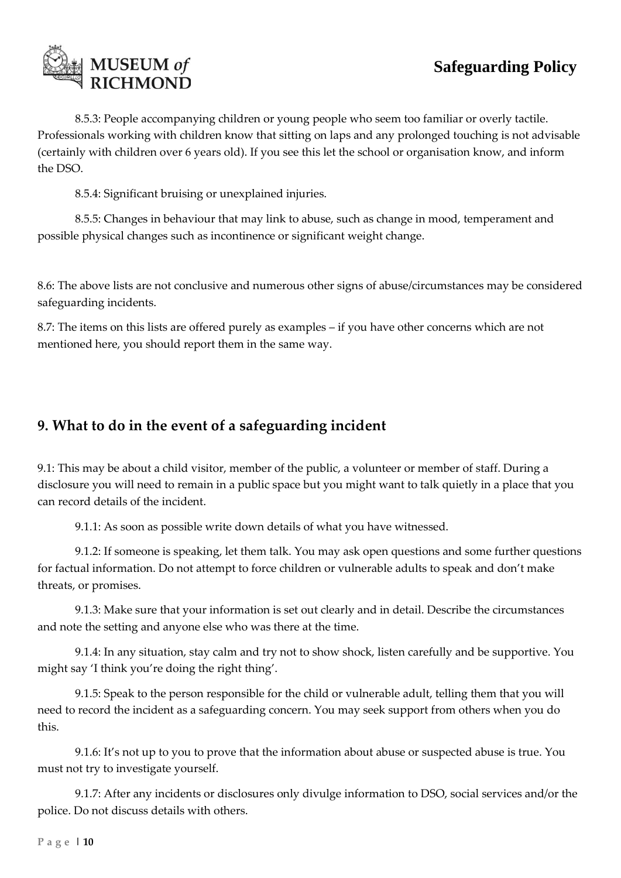

8.5.3: People accompanying children or young people who seem too familiar or overly tactile. Professionals working with children know that sitting on laps and any prolonged touching is not advisable (certainly with children over 6 years old). If you see this let the school or organisation know, and inform the DSO.

8.5.4: Significant bruising or unexplained injuries.

8.5.5: Changes in behaviour that may link to abuse, such as change in mood, temperament and possible physical changes such as incontinence or significant weight change.

8.6: The above lists are not conclusive and numerous other signs of abuse/circumstances may be considered safeguarding incidents.

8.7: The items on this lists are offered purely as examples – if you have other concerns which are not mentioned here, you should report them in the same way.

## <span id="page-10-0"></span>**9. What to do in the event of a safeguarding incident**

9.1: This may be about a child visitor, member of the public, a volunteer or member of staff. During a disclosure you will need to remain in a public space but you might want to talk quietly in a place that you can record details of the incident.

9.1.1: As soon as possible write down details of what you have witnessed.

9.1.2: If someone is speaking, let them talk. You may ask open questions and some further questions for factual information. Do not attempt to force children or vulnerable adults to speak and don't make threats, or promises.

9.1.3: Make sure that your information is set out clearly and in detail. Describe the circumstances and note the setting and anyone else who was there at the time.

9.1.4: In any situation, stay calm and try not to show shock, listen carefully and be supportive. You might say 'I think you're doing the right thing'.

9.1.5: Speak to the person responsible for the child or vulnerable adult, telling them that you will need to record the incident as a safeguarding concern. You may seek support from others when you do this.

9.1.6: It's not up to you to prove that the information about abuse or suspected abuse is true. You must not try to investigate yourself.

9.1.7: After any incidents or disclosures only divulge information to DSO, social services and/or the police. Do not discuss details with others.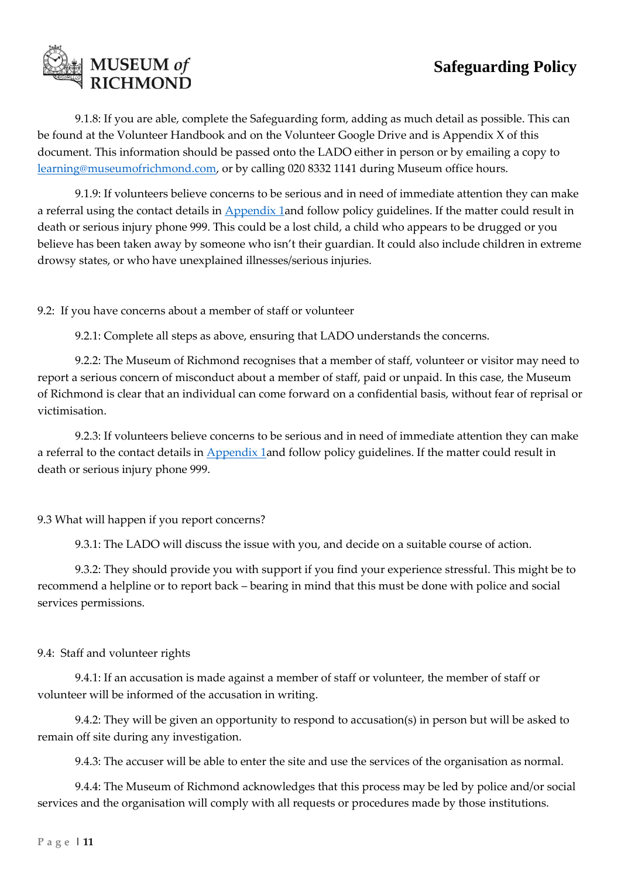

9.1.8: If you are able, complete the Safeguarding form, adding as much detail as possible. This can be found at the Volunteer Handbook and on the Volunteer Google Drive and is Appendix X of this document. This information should be passed onto the LADO either in person or by emailing a copy to [learning@museumofrichmond.com,](mailto:learning@museumofrichmond.com) or by calling 020 8332 1141 during Museum office hours.

9.1.9: If volunteers believe concerns to be serious and in need of immediate attention they can make a referral using the contact details in **Appendix 1and follow policy guidelines**. If the matter could result in death or serious injury phone 999. This could be a lost child, a child who appears to be drugged or you believe has been taken away by someone who isn't their guardian. It could also include children in extreme drowsy states, or who have unexplained illnesses/serious injuries.

9.2: If you have concerns about a member of staff or volunteer

9.2.1: Complete all steps as above, ensuring that LADO understands the concerns.

9.2.2: The Museum of Richmond recognises that a member of staff, volunteer or visitor may need to report a serious concern of misconduct about a member of staff, paid or unpaid. In this case, the Museum of Richmond is clear that an individual can come forward on a confidential basis, without fear of reprisal or victimisation.

9.2.3: If volunteers believe concerns to be serious and in need of immediate attention they can make a referral to the contact details in [Appendix 1a](#page-22-0)nd follow policy guidelines. If the matter could result in death or serious injury phone 999.

#### 9.3 What will happen if you report concerns?

9.3.1: The LADO will discuss the issue with you, and decide on a suitable course of action.

9.3.2: They should provide you with support if you find your experience stressful. This might be to recommend a helpline or to report back – bearing in mind that this must be done with police and social services permissions.

#### 9.4: Staff and volunteer rights

9.4.1: If an accusation is made against a member of staff or volunteer, the member of staff or volunteer will be informed of the accusation in writing.

9.4.2: They will be given an opportunity to respond to accusation(s) in person but will be asked to remain off site during any investigation.

9.4.3: The accuser will be able to enter the site and use the services of the organisation as normal.

9.4.4: The Museum of Richmond acknowledges that this process may be led by police and/or social services and the organisation will comply with all requests or procedures made by those institutions.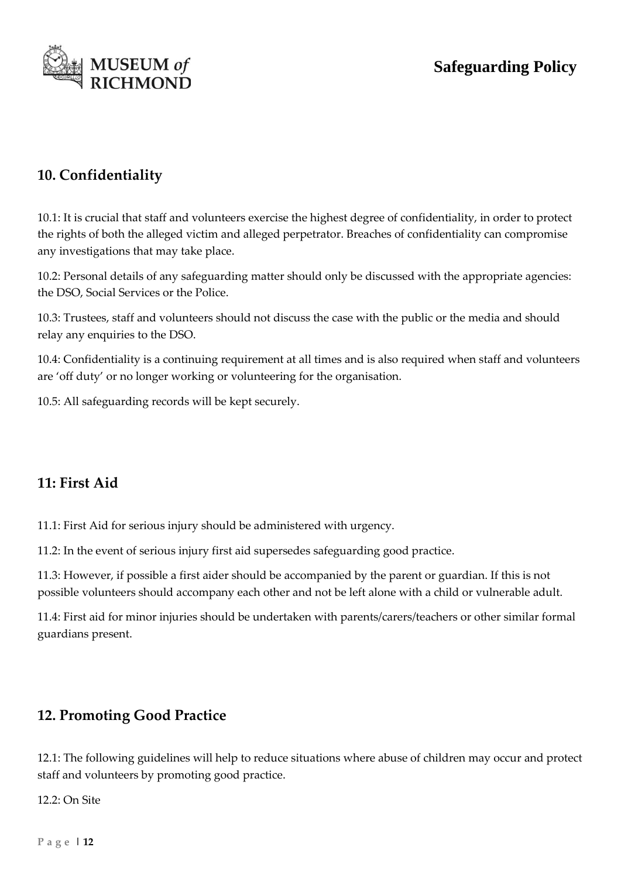

## <span id="page-12-0"></span>**10. Confidentiality**

10.1: It is crucial that staff and volunteers exercise the highest degree of confidentiality, in order to protect the rights of both the alleged victim and alleged perpetrator. Breaches of confidentiality can compromise any investigations that may take place.

10.2: Personal details of any safeguarding matter should only be discussed with the appropriate agencies: the DSO, Social Services or the Police.

10.3: Trustees, staff and volunteers should not discuss the case with the public or the media and should relay any enquiries to the DSO.

10.4: Confidentiality is a continuing requirement at all times and is also required when staff and volunteers are 'off duty' or no longer working or volunteering for the organisation.

10.5: All safeguarding records will be kept securely.

## <span id="page-12-1"></span>**11: First Aid**

11.1: First Aid for serious injury should be administered with urgency.

11.2: In the event of serious injury first aid supersedes safeguarding good practice.

11.3: However, if possible a first aider should be accompanied by the parent or guardian. If this is not possible volunteers should accompany each other and not be left alone with a child or vulnerable adult.

11.4: First aid for minor injuries should be undertaken with parents/carers/teachers or other similar formal guardians present.

## <span id="page-12-2"></span>**12. Promoting Good Practice**

12.1: The following guidelines will help to reduce situations where abuse of children may occur and protect staff and volunteers by promoting good practice.

12.2: On Site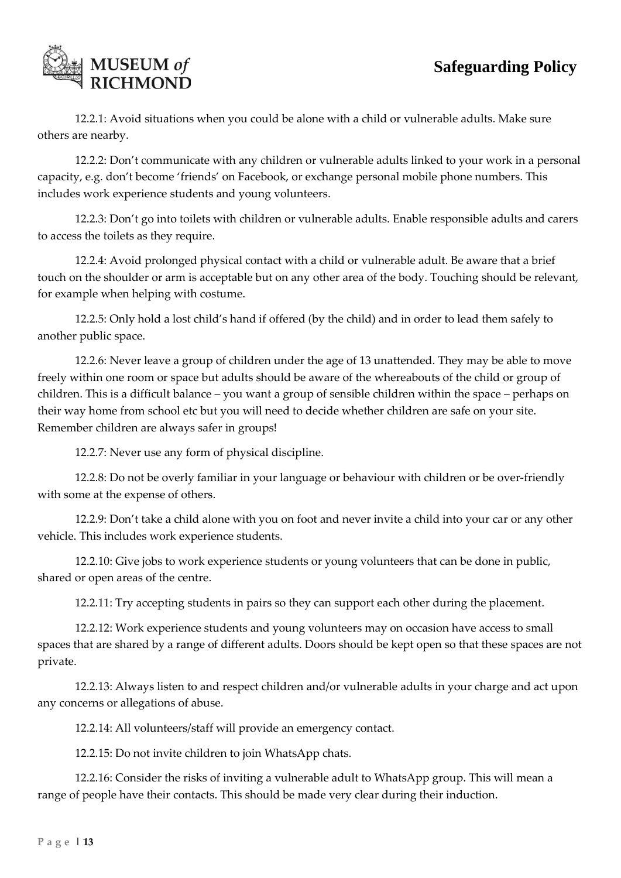

12.2.1: Avoid situations when you could be alone with a child or vulnerable adults. Make sure others are nearby.

12.2.2: Don't communicate with any children or vulnerable adults linked to your work in a personal capacity, e.g. don't become 'friends' on Facebook, or exchange personal mobile phone numbers. This includes work experience students and young volunteers.

12.2.3: Don't go into toilets with children or vulnerable adults. Enable responsible adults and carers to access the toilets as they require.

12.2.4: Avoid prolonged physical contact with a child or vulnerable adult. Be aware that a brief touch on the shoulder or arm is acceptable but on any other area of the body. Touching should be relevant, for example when helping with costume.

12.2.5: Only hold a lost child's hand if offered (by the child) and in order to lead them safely to another public space.

12.2.6: Never leave a group of children under the age of 13 unattended. They may be able to move freely within one room or space but adults should be aware of the whereabouts of the child or group of children. This is a difficult balance – you want a group of sensible children within the space – perhaps on their way home from school etc but you will need to decide whether children are safe on your site. Remember children are always safer in groups!

12.2.7: Never use any form of physical discipline.

12.2.8: Do not be overly familiar in your language or behaviour with children or be over-friendly with some at the expense of others.

12.2.9: Don't take a child alone with you on foot and never invite a child into your car or any other vehicle. This includes work experience students.

12.2.10: Give jobs to work experience students or young volunteers that can be done in public, shared or open areas of the centre.

12.2.11: Try accepting students in pairs so they can support each other during the placement.

12.2.12: Work experience students and young volunteers may on occasion have access to small spaces that are shared by a range of different adults. Doors should be kept open so that these spaces are not private.

12.2.13: Always listen to and respect children and/or vulnerable adults in your charge and act upon any concerns or allegations of abuse.

12.2.14: All volunteers/staff will provide an emergency contact.

12.2.15: Do not invite children to join WhatsApp chats.

12.2.16: Consider the risks of inviting a vulnerable adult to WhatsApp group. This will mean a range of people have their contacts. This should be made very clear during their induction.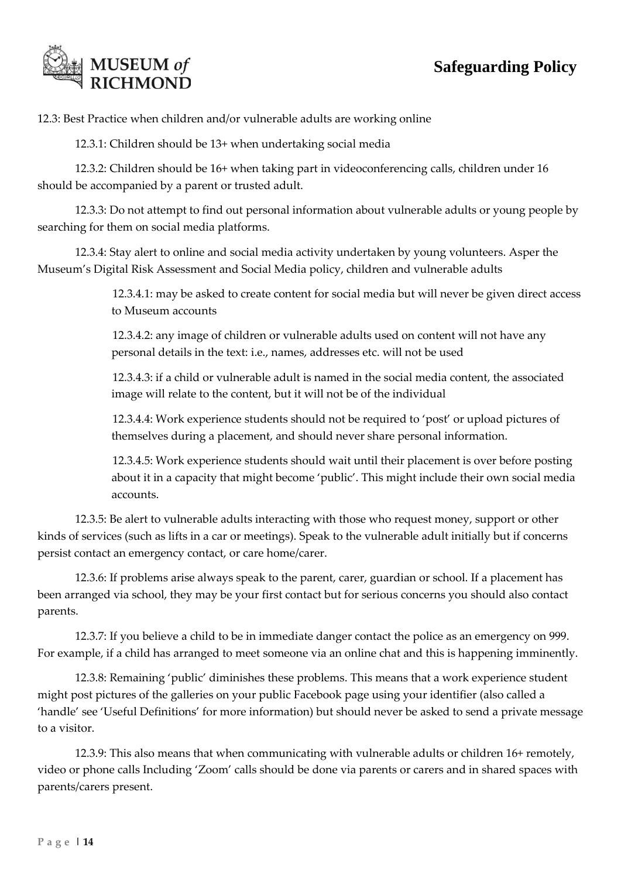

12.3: Best Practice when children and/or vulnerable adults are working online

12.3.1: Children should be 13+ when undertaking social media

12.3.2: Children should be 16+ when taking part in videoconferencing calls, children under 16 should be accompanied by a parent or trusted adult.

12.3.3: Do not attempt to find out personal information about vulnerable adults or young people by searching for them on social media platforms.

12.3.4: Stay alert to online and social media activity undertaken by young volunteers. Asper the Museum's Digital Risk Assessment and Social Media policy, children and vulnerable adults

> 12.3.4.1: may be asked to create content for social media but will never be given direct access to Museum accounts

12.3.4.2: any image of children or vulnerable adults used on content will not have any personal details in the text: i.e., names, addresses etc. will not be used

12.3.4.3: if a child or vulnerable adult is named in the social media content, the associated image will relate to the content, but it will not be of the individual

12.3.4.4: Work experience students should not be required to 'post' or upload pictures of themselves during a placement, and should never share personal information.

12.3.4.5: Work experience students should wait until their placement is over before posting about it in a capacity that might become 'public'. This might include their own social media accounts.

12.3.5: Be alert to vulnerable adults interacting with those who request money, support or other kinds of services (such as lifts in a car or meetings). Speak to the vulnerable adult initially but if concerns persist contact an emergency contact, or care home/carer.

12.3.6: If problems arise always speak to the parent, carer, guardian or school. If a placement has been arranged via school, they may be your first contact but for serious concerns you should also contact parents.

12.3.7: If you believe a child to be in immediate danger contact the police as an emergency on 999. For example, if a child has arranged to meet someone via an online chat and this is happening imminently.

12.3.8: Remaining 'public' diminishes these problems. This means that a work experience student might post pictures of the galleries on your public Facebook page using your identifier (also called a 'handle' see 'Useful Definitions' for more information) but should never be asked to send a private message to a visitor.

12.3.9: This also means that when communicating with vulnerable adults or children 16+ remotely, video or phone calls Including 'Zoom' calls should be done via parents or carers and in shared spaces with parents/carers present.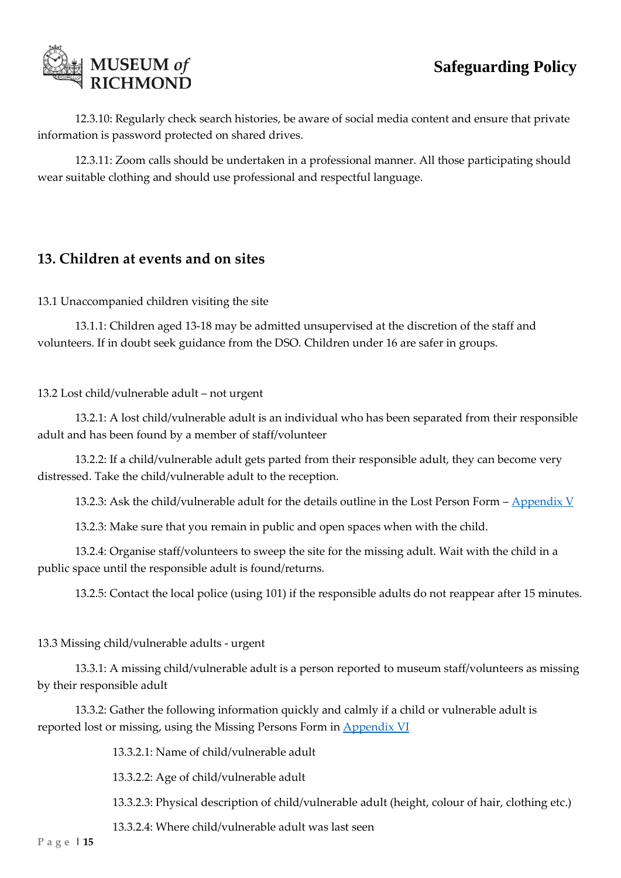

12.3.10: Regularly check search histories, be aware of social media content and ensure that private information is password protected on shared drives.

12.3.11: Zoom calls should be undertaken in a professional manner. All those participating should wear suitable clothing and should use professional and respectful language.

#### <span id="page-15-0"></span>**13. Children at events and on sites**

13.1 Unaccompanied children visiting the site

13.1.1: Children aged 13-18 may be admitted unsupervised at the discretion of the staff and volunteers. If in doubt seek guidance from the DSO. Children under 16 are safer in groups.

#### 13.2 Lost child/vulnerable adult – not urgent

13.2.1: A lost child/vulnerable adult is an individual who has been separated from their responsible adult and has been found by a member of staff/volunteer

13.2.2: If a child/vulnerable adult gets parted from their responsible adult, they can become very distressed. Take the child/vulnerable adult to the reception.

13.2.3: Ask the child/vulnerable adult for the details outline in the Lost Person Form – [Appendix V](#page-29-1)

13.2.3: Make sure that you remain in public and open spaces when with the child.

13.2.4: Organise staff/volunteers to sweep the site for the missing adult. Wait with the child in a public space until the responsible adult is found/returns.

13.2.5: Contact the local police (using 101) if the responsible adults do not reappear after 15 minutes.

#### 13.3 Missing child/vulnerable adults - urgent

13.3.1: A missing child/vulnerable adult is a person reported to museum staff/volunteers as missing by their responsible adult

13.3.2: Gather the following information quickly and calmly if a child or vulnerable adult is reported lost or missing, using the Missing Persons Form in [Appendix VI](#page-28-0)

13.3.2.1: Name of child/vulnerable adult

13.3.2.2: Age of child/vulnerable adult

13.3.2.3: Physical description of child/vulnerable adult (height, colour of hair, clothing etc.)

13.3.2.4: Where child/vulnerable adult was last seen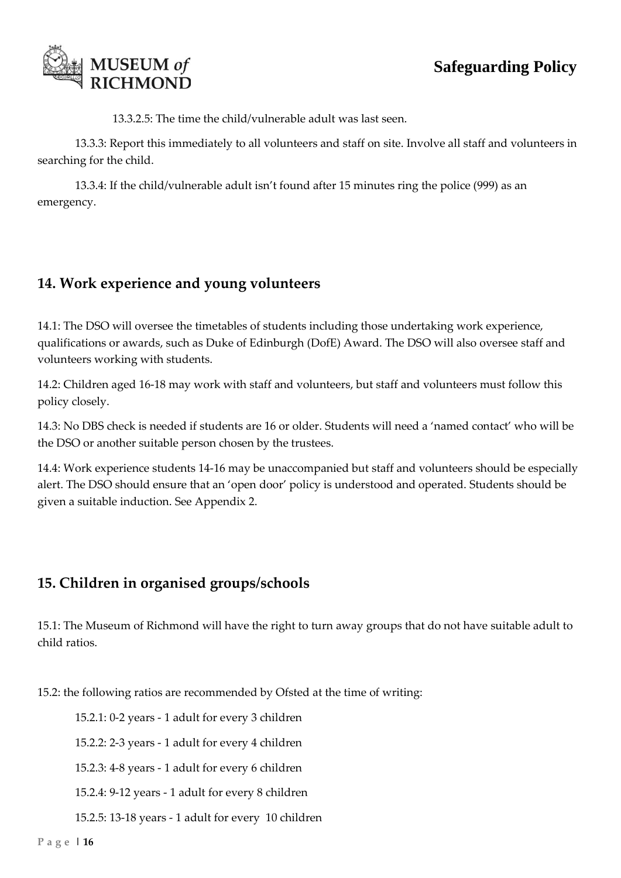

13.3.2.5: The time the child/vulnerable adult was last seen.

13.3.3: Report this immediately to all volunteers and staff on site. Involve all staff and volunteers in searching for the child.

13.3.4: If the child/vulnerable adult isn't found after 15 minutes ring the police (999) as an emergency.

## <span id="page-16-0"></span>**14. Work experience and young volunteers**

14.1: The DSO will oversee the timetables of students including those undertaking work experience, qualifications or awards, such as Duke of Edinburgh (DofE) Award. The DSO will also oversee staff and volunteers working with students.

14.2: Children aged 16-18 may work with staff and volunteers, but staff and volunteers must follow this policy closely.

14.3: No DBS check is needed if students are 16 or older. Students will need a 'named contact' who will be the DSO or another suitable person chosen by the trustees.

14.4: Work experience students 14-16 may be unaccompanied but staff and volunteers should be especially alert. The DSO should ensure that an 'open door' policy is understood and operated. Students should be given a suitable induction. See Appendix 2.

## <span id="page-16-1"></span>**15. Children in organised groups/schools**

15.1: The Museum of Richmond will have the right to turn away groups that do not have suitable adult to child ratios.

15.2: the following ratios are recommended by Ofsted at the time of writing:

15.2.1: 0-2 years - 1 adult for every 3 children

15.2.2: 2-3 years - 1 adult for every 4 children

15.2.3: 4-8 years - 1 adult for every 6 children

15.2.4: 9-12 years - 1 adult for every 8 children

15.2.5: 13-18 years - 1 adult for every 10 children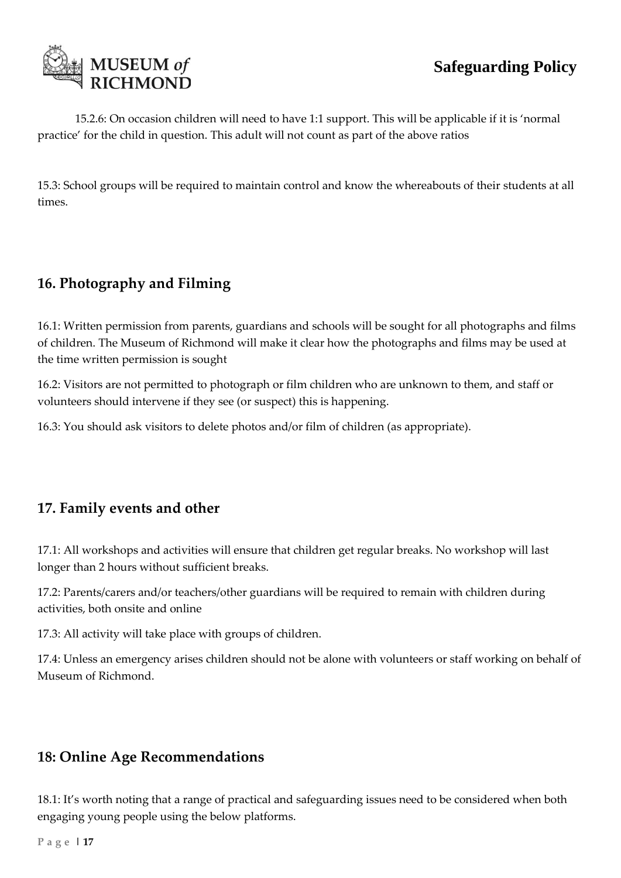

15.2.6: On occasion children will need to have 1:1 support. This will be applicable if it is 'normal practice' for the child in question. This adult will not count as part of the above ratios

15.3: School groups will be required to maintain control and know the whereabouts of their students at all times.

## <span id="page-17-0"></span>**16. Photography and Filming**

16.1: Written permission from parents, guardians and schools will be sought for all photographs and films of children. The Museum of Richmond will make it clear how the photographs and films may be used at the time written permission is sought

16.2: Visitors are not permitted to photograph or film children who are unknown to them, and staff or volunteers should intervene if they see (or suspect) this is happening.

16.3: You should ask visitors to delete photos and/or film of children (as appropriate).

## <span id="page-17-1"></span>**17. Family events and other**

17.1: All workshops and activities will ensure that children get regular breaks. No workshop will last longer than 2 hours without sufficient breaks.

17.2: Parents/carers and/or teachers/other guardians will be required to remain with children during activities, both onsite and online

17.3: All activity will take place with groups of children.

17.4: Unless an emergency arises children should not be alone with volunteers or staff working on behalf of Museum of Richmond.

## <span id="page-17-2"></span>**18: Online Age Recommendations**

18.1: It's worth noting that a range of practical and safeguarding issues need to be considered when both engaging young people using the below platforms.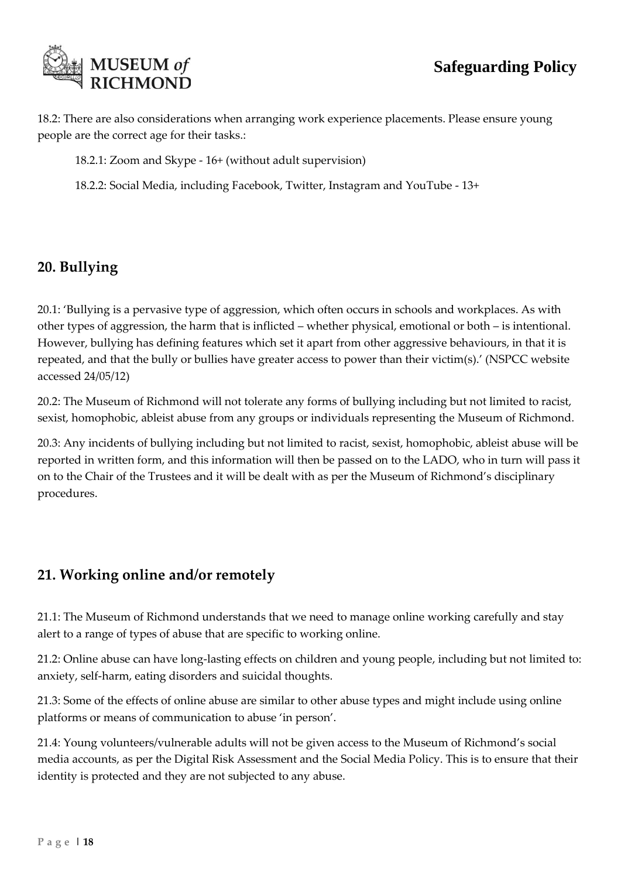

18.2: There are also considerations when arranging work experience placements. Please ensure young people are the correct age for their tasks.:

18.2.1: Zoom and Skype - 16+ (without adult supervision)

18.2.2: Social Media, including Facebook, Twitter, Instagram and YouTube - 13+

## <span id="page-18-0"></span>**20. Bullying**

20.1: 'Bullying is a pervasive type of aggression, which often occurs in schools and workplaces. As with other types of aggression, the harm that is inflicted – whether physical, emotional or both – is intentional. However, bullying has defining features which set it apart from other aggressive behaviours, in that it is repeated, and that the bully or bullies have greater access to power than their victim(s).' (NSPCC website accessed 24/05/12)

20.2: The Museum of Richmond will not tolerate any forms of bullying including but not limited to racist, sexist, homophobic, ableist abuse from any groups or individuals representing the Museum of Richmond.

20.3: Any incidents of bullying including but not limited to racist, sexist, homophobic, ableist abuse will be reported in written form, and this information will then be passed on to the LADO, who in turn will pass it on to the Chair of the Trustees and it will be dealt with as per the Museum of Richmond's disciplinary procedures.

## <span id="page-18-1"></span>**21. Working online and/or remotely**

21.1: The Museum of Richmond understands that we need to manage online working carefully and stay alert to a range of types of abuse that are specific to working online.

21.2: Online abuse can have long-lasting effects on children and young people, including but not limited to: anxiety, self-harm, eating disorders and suicidal thoughts.

21.3: Some of the effects of online abuse are similar to other abuse types and might include using online platforms or means of communication to abuse 'in person'.

21.4: Young volunteers/vulnerable adults will not be given access to the Museum of Richmond's social media accounts, as per the Digital Risk Assessment and the Social Media Policy. This is to ensure that their identity is protected and they are not subjected to any abuse.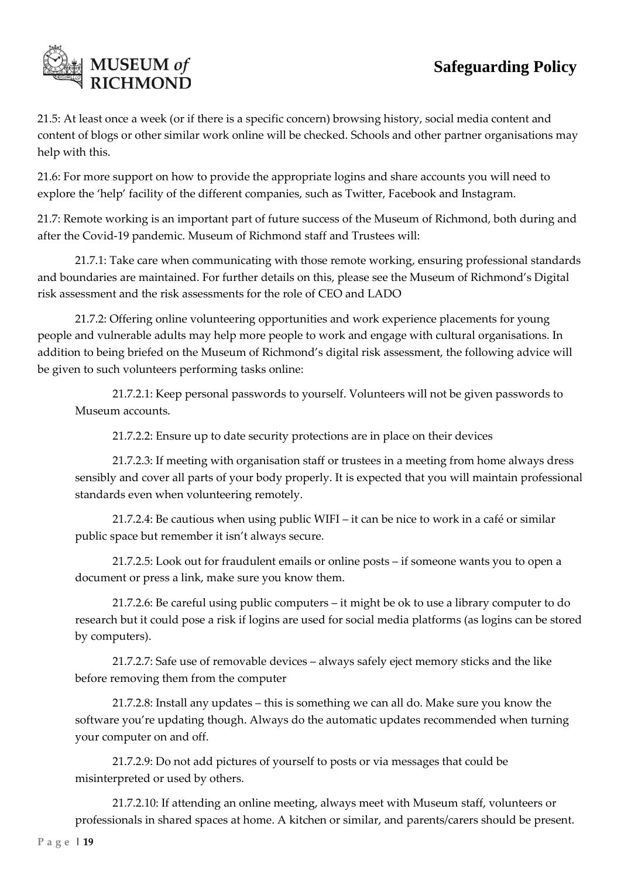

21.5: At least once a week (or if there is a specific concern) browsing history, social media content and content of blogs or other similar work online will be checked. Schools and other partner organisations may help with this.

21.6: For more support on how to provide the appropriate logins and share accounts you will need to explore the 'help' facility of the different companies, such as Twitter, Facebook and Instagram.

21.7: Remote working is an important part of future success of the Museum of Richmond, both during and after the Covid-19 pandemic. Museum of Richmond staff and Trustees will:

21.7.1: Take care when communicating with those remote working, ensuring professional standards and boundaries are maintained. For further details on this, please see the Museum of Richmond's Digital risk assessment and the risk assessments for the role of CEO and LADO

21.7.2: Offering online volunteering opportunities and work experience placements for young people and vulnerable adults may help more people to work and engage with cultural organisations. In addition to being briefed on the Museum of Richmond's digital risk assessment, the following advice will be given to such volunteers performing tasks online:

21.7.2.1: Keep personal passwords to yourself. Volunteers will not be given passwords to Museum accounts.

21.7.2.2: Ensure up to date security protections are in place on their devices

21.7.2.3: If meeting with organisation staff or trustees in a meeting from home always dress sensibly and cover all parts of your body properly. It is expected that you will maintain professional standards even when volunteering remotely.

21.7.2.4: Be cautious when using public WIFI – it can be nice to work in a café or similar public space but remember it isn't always secure.

21.7.2.5: Look out for fraudulent emails or online posts – if someone wants you to open a document or press a link, make sure you know them.

21.7.2.6: Be careful using public computers – it might be ok to use a library computer to do research but it could pose a risk if logins are used for social media platforms (as logins can be stored by computers).

21.7.2.7: Safe use of removable devices – always safely eject memory sticks and the like before removing them from the computer

21.7.2.8: Install any updates – this is something we can all do. Make sure you know the software you're updating though. Always do the automatic updates recommended when turning your computer on and off.

21.7.2.9: Do not add pictures of yourself to posts or via messages that could be misinterpreted or used by others.

21.7.2.10: If attending an online meeting, always meet with Museum staff, volunteers or professionals in shared spaces at home. A kitchen or similar, and parents/carers should be present.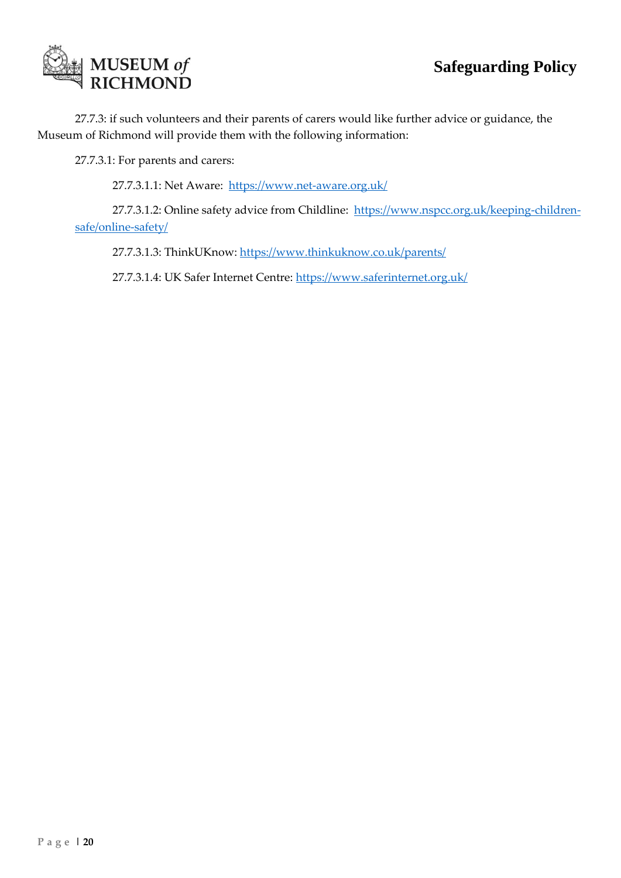

27.7.3: if such volunteers and their parents of carers would like further advice or guidance, the Museum of Richmond will provide them with the following information:

27.7.3.1: For parents and carers:

27.7.3.1.1: Net Aware: <https://www.net-aware.org.uk/>

27.7.3.1.2: Online safety advice from Childline: [https://www.nspcc.org.uk/keeping-children](https://www.nspcc.org.uk/keeping-children-safe/online-safety/)[safe/online-safety/](https://www.nspcc.org.uk/keeping-children-safe/online-safety/)

27.7.3.1.3: ThinkUKnow:<https://www.thinkuknow.co.uk/parents/>

27.7.3.1.4: UK Safer Internet Centre:<https://www.saferinternet.org.uk/>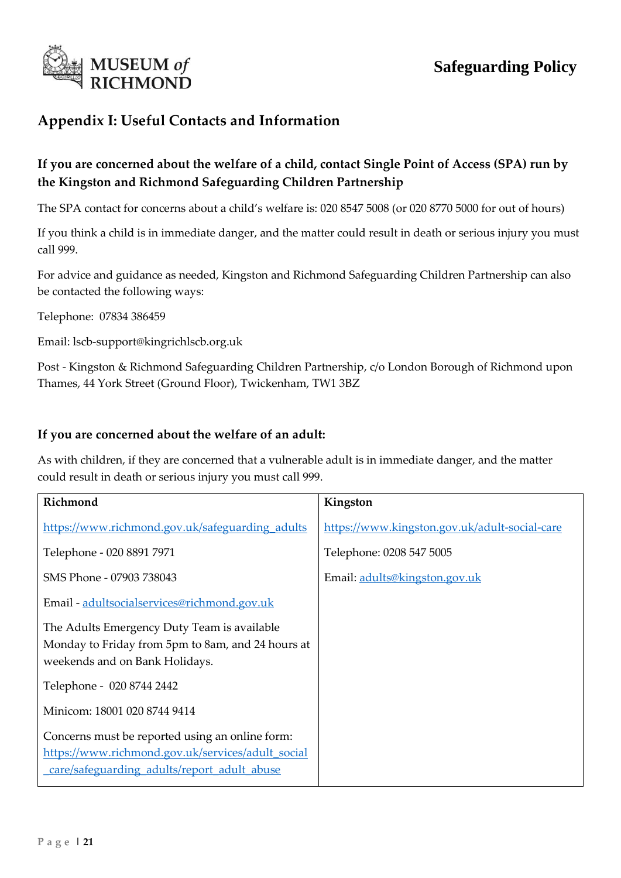

## <span id="page-21-0"></span>**Appendix I: Useful Contacts and Information**

## **If you are concerned about the welfare of a child, contact Single Point of Access (SPA) run by the Kingston and Richmond Safeguarding Children Partnership**

The SPA contact for concerns about a child's welfare is: 020 8547 5008 (or 020 8770 5000 for out of hours)

If you think a child is in immediate danger, and the matter could result in death or serious injury you must call 999.

For advice and guidance as needed, Kingston and Richmond Safeguarding Children Partnership can also be contacted the following ways:

Telephone: 07834 386459

Email: lscb-support@kingrichlscb.org.uk

Post - Kingston & Richmond Safeguarding Children Partnership, c/o London Borough of Richmond upon Thames, 44 York Street (Ground Floor), Twickenham, TW1 3BZ

#### **If you are concerned about the welfare of an adult:**

As with children, if they are concerned that a vulnerable adult is in immediate danger, and the matter could result in death or serious injury you must call 999.

| Richmond                                                                                                                                            | Kingston                                      |
|-----------------------------------------------------------------------------------------------------------------------------------------------------|-----------------------------------------------|
| https://www.richmond.gov.uk/safeguarding adults                                                                                                     | https://www.kingston.gov.uk/adult-social-care |
| Telephone - 020 8891 7971                                                                                                                           | Telephone: 0208 547 5005                      |
| SMS Phone - 07903 738043                                                                                                                            | Email: adults@kingston.gov.uk                 |
| Email - adultsocialservices@richmond.gov.uk                                                                                                         |                                               |
| The Adults Emergency Duty Team is available<br>Monday to Friday from 5pm to 8am, and 24 hours at<br>weekends and on Bank Holidays.                  |                                               |
| Telephone - 020 8744 2442                                                                                                                           |                                               |
| Minicom: 18001 020 8744 9414                                                                                                                        |                                               |
| Concerns must be reported using an online form:<br>https://www.richmond.gov.uk/services/adult_social<br>care/safeguarding adults/report adult abuse |                                               |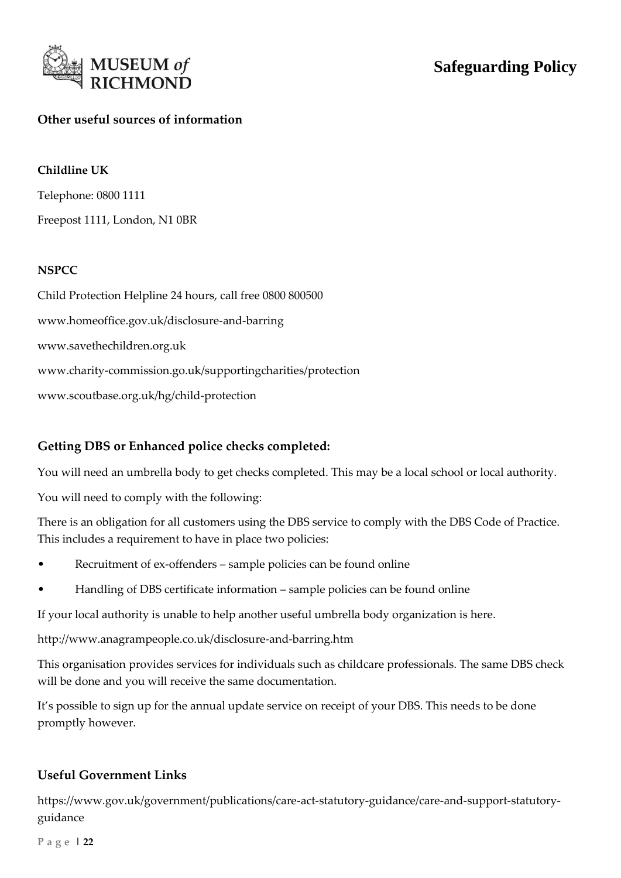

#### **Other useful sources of information**

#### **Childline UK**

Telephone: 0800 1111 Freepost 1111, London, N1 0BR

#### **NSPCC**

Child Protection Helpline 24 hours, call free 0800 800500 www.homeoffice.gov.uk/disclosure-and-barring www.savethechildren.org.uk www.charity-commission.go.uk/supportingcharities/protection www.scoutbase.org.uk/hg/child-protection

#### **Getting DBS or Enhanced police checks completed:**

You will need an umbrella body to get checks completed. This may be a local school or local authority.

You will need to comply with the following:

There is an obligation for all customers using the DBS service to comply with the DBS Code of Practice. This includes a requirement to have in place two policies:

- Recruitment of ex-offenders sample policies can be found online
- Handling of DBS certificate information sample policies can be found online

If your local authority is unable to help another useful umbrella body organization is here.

http://www.anagrampeople.co.uk/disclosure-and-barring.htm

This organisation provides services for individuals such as childcare professionals. The same DBS check will be done and you will receive the same documentation.

It's possible to sign up for the annual update service on receipt of your DBS. This needs to be done promptly however.

#### **Useful Government Links**

<span id="page-22-0"></span>https://www.gov.uk/government/publications/care-act-statutory-guidance/care-and-support-statutoryguidance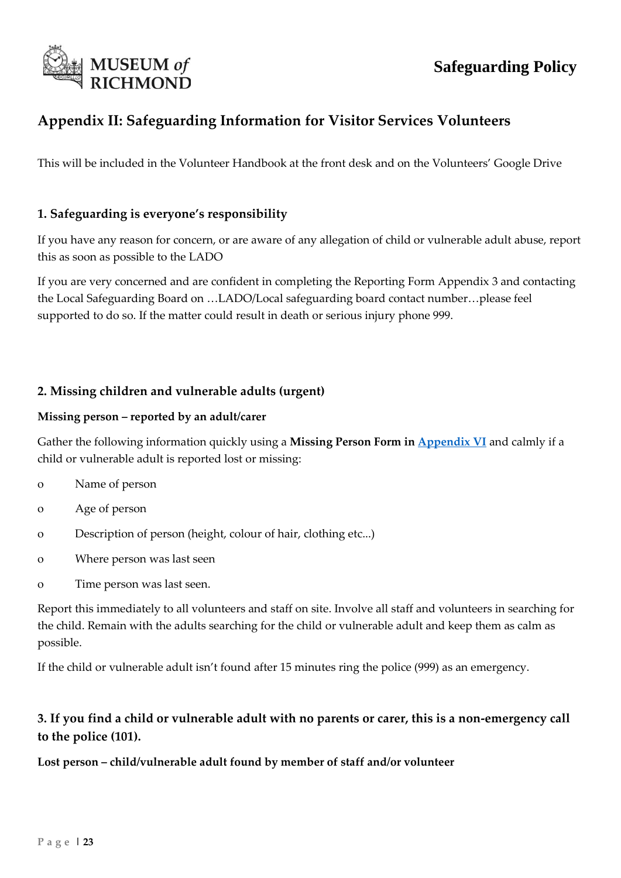

## <span id="page-23-0"></span>**Appendix II: Safeguarding Information for Visitor Services Volunteers**

This will be included in the Volunteer Handbook at the front desk and on the Volunteers' Google Drive

#### **1. Safeguarding is everyone's responsibility**

If you have any reason for concern, or are aware of any allegation of child or vulnerable adult abuse, report this as soon as possible to the LADO

If you are very concerned and are confident in completing the Reporting Form Appendix 3 and contacting the Local Safeguarding Board on …LADO/Local safeguarding board contact number…please feel supported to do so. If the matter could result in death or serious injury phone 999.

#### **2. Missing children and vulnerable adults (urgent)**

#### **Missing person – reported by an adult/carer**

Gather the following information quickly using a **Missing Person Form i[n Appendix VI](#page-29-0)** and calmly if a child or vulnerable adult is reported lost or missing:

- o Name of person
- o Age of person
- o Description of person (height, colour of hair, clothing etc...)
- o Where person was last seen
- o Time person was last seen.

Report this immediately to all volunteers and staff on site. Involve all staff and volunteers in searching for the child. Remain with the adults searching for the child or vulnerable adult and keep them as calm as possible.

If the child or vulnerable adult isn't found after 15 minutes ring the police (999) as an emergency.

#### **3. If you find a child or vulnerable adult with no parents or carer, this is a non-emergency call to the police (101).**

#### **Lost person – child/vulnerable adult found by member of staff and/or volunteer**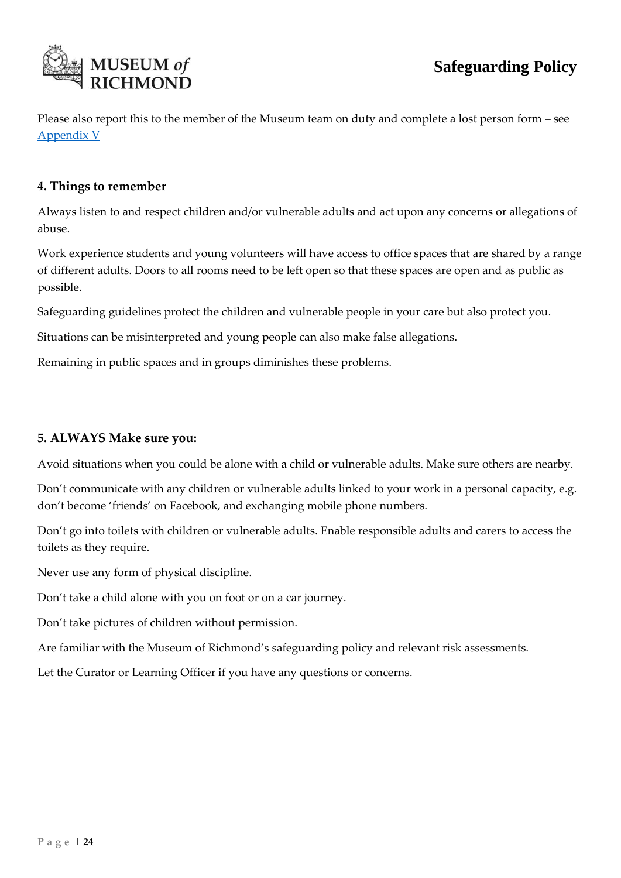

Please also report this to the member of the Museum team on duty and complete a lost person form – see [Appendix V](#page-28-0)

#### **4. Things to remember**

Always listen to and respect children and/or vulnerable adults and act upon any concerns or allegations of abuse.

Work experience students and young volunteers will have access to office spaces that are shared by a range of different adults. Doors to all rooms need to be left open so that these spaces are open and as public as possible.

Safeguarding guidelines protect the children and vulnerable people in your care but also protect you.

Situations can be misinterpreted and young people can also make false allegations.

Remaining in public spaces and in groups diminishes these problems.

#### **5. ALWAYS Make sure you:**

Avoid situations when you could be alone with a child or vulnerable adults. Make sure others are nearby.

Don't communicate with any children or vulnerable adults linked to your work in a personal capacity, e.g. don't become 'friends' on Facebook, and exchanging mobile phone numbers.

Don't go into toilets with children or vulnerable adults. Enable responsible adults and carers to access the toilets as they require.

Never use any form of physical discipline.

Don't take a child alone with you on foot or on a car journey.

Don't take pictures of children without permission.

Are familiar with the Museum of Richmond's safeguarding policy and relevant risk assessments.

Let the Curator or Learning Officer if you have any questions or concerns.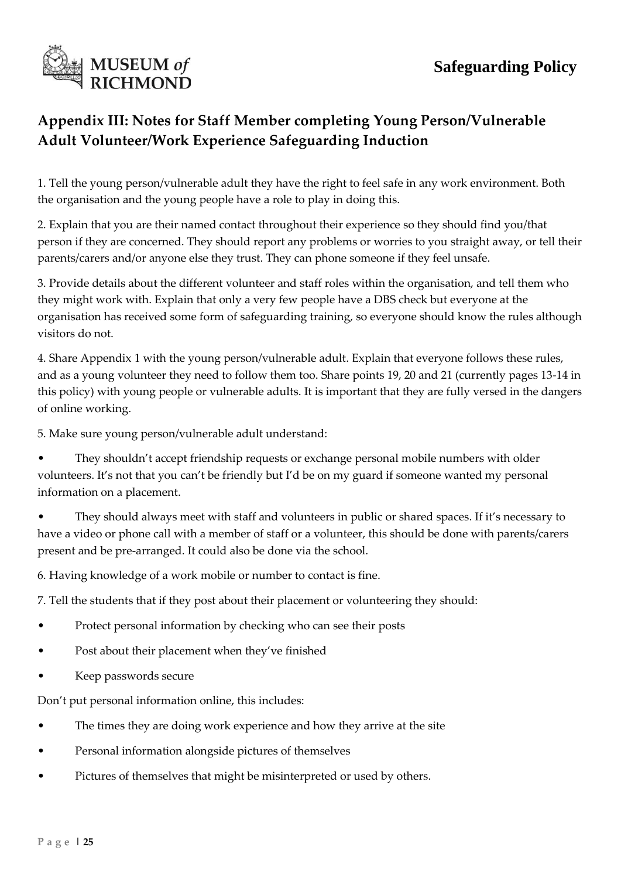

# <span id="page-25-0"></span>**Appendix III: Notes for Staff Member completing Young Person/Vulnerable Adult Volunteer/Work Experience Safeguarding Induction**

1. Tell the young person/vulnerable adult they have the right to feel safe in any work environment. Both the organisation and the young people have a role to play in doing this.

2. Explain that you are their named contact throughout their experience so they should find you/that person if they are concerned. They should report any problems or worries to you straight away, or tell their parents/carers and/or anyone else they trust. They can phone someone if they feel unsafe.

3. Provide details about the different volunteer and staff roles within the organisation, and tell them who they might work with. Explain that only a very few people have a DBS check but everyone at the organisation has received some form of safeguarding training, so everyone should know the rules although visitors do not.

4. Share Appendix 1 with the young person/vulnerable adult. Explain that everyone follows these rules, and as a young volunteer they need to follow them too. Share points 19, 20 and 21 (currently pages 13-14 in this policy) with young people or vulnerable adults. It is important that they are fully versed in the dangers of online working.

5. Make sure young person/vulnerable adult understand:

They shouldn't accept friendship requests or exchange personal mobile numbers with older volunteers. It's not that you can't be friendly but I'd be on my guard if someone wanted my personal information on a placement.

• They should always meet with staff and volunteers in public or shared spaces. If it's necessary to have a video or phone call with a member of staff or a volunteer, this should be done with parents/carers present and be pre-arranged. It could also be done via the school.

6. Having knowledge of a work mobile or number to contact is fine.

7. Tell the students that if they post about their placement or volunteering they should:

- Protect personal information by checking who can see their posts
- Post about their placement when they've finished
- Keep passwords secure

Don't put personal information online, this includes:

- The times they are doing work experience and how they arrive at the site
- Personal information alongside pictures of themselves
- Pictures of themselves that might be misinterpreted or used by others.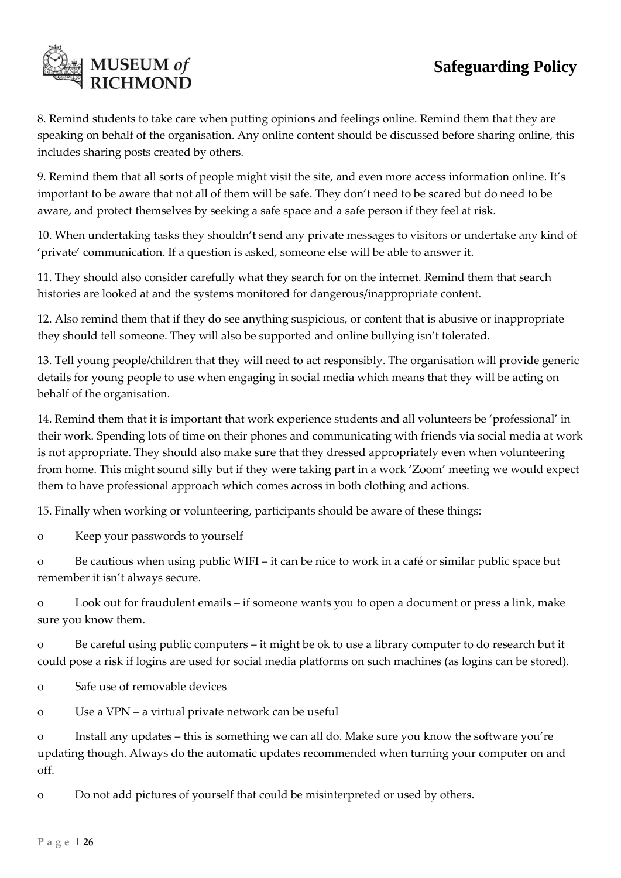

8. Remind students to take care when putting opinions and feelings online. Remind them that they are speaking on behalf of the organisation. Any online content should be discussed before sharing online, this includes sharing posts created by others.

9. Remind them that all sorts of people might visit the site, and even more access information online. It's important to be aware that not all of them will be safe. They don't need to be scared but do need to be aware, and protect themselves by seeking a safe space and a safe person if they feel at risk.

10. When undertaking tasks they shouldn't send any private messages to visitors or undertake any kind of 'private' communication. If a question is asked, someone else will be able to answer it.

11. They should also consider carefully what they search for on the internet. Remind them that search histories are looked at and the systems monitored for dangerous/inappropriate content.

12. Also remind them that if they do see anything suspicious, or content that is abusive or inappropriate they should tell someone. They will also be supported and online bullying isn't tolerated.

13. Tell young people/children that they will need to act responsibly. The organisation will provide generic details for young people to use when engaging in social media which means that they will be acting on behalf of the organisation.

14. Remind them that it is important that work experience students and all volunteers be 'professional' in their work. Spending lots of time on their phones and communicating with friends via social media at work is not appropriate. They should also make sure that they dressed appropriately even when volunteering from home. This might sound silly but if they were taking part in a work 'Zoom' meeting we would expect them to have professional approach which comes across in both clothing and actions.

15. Finally when working or volunteering, participants should be aware of these things:

o Keep your passwords to yourself

o Be cautious when using public WIFI – it can be nice to work in a café or similar public space but remember it isn't always secure.

o Look out for fraudulent emails – if someone wants you to open a document or press a link, make sure you know them.

o Be careful using public computers – it might be ok to use a library computer to do research but it could pose a risk if logins are used for social media platforms on such machines (as logins can be stored).

o Safe use of removable devices

o Use a VPN – a virtual private network can be useful

o Install any updates – this is something we can all do. Make sure you know the software you're updating though. Always do the automatic updates recommended when turning your computer on and off.

o Do not add pictures of yourself that could be misinterpreted or used by others.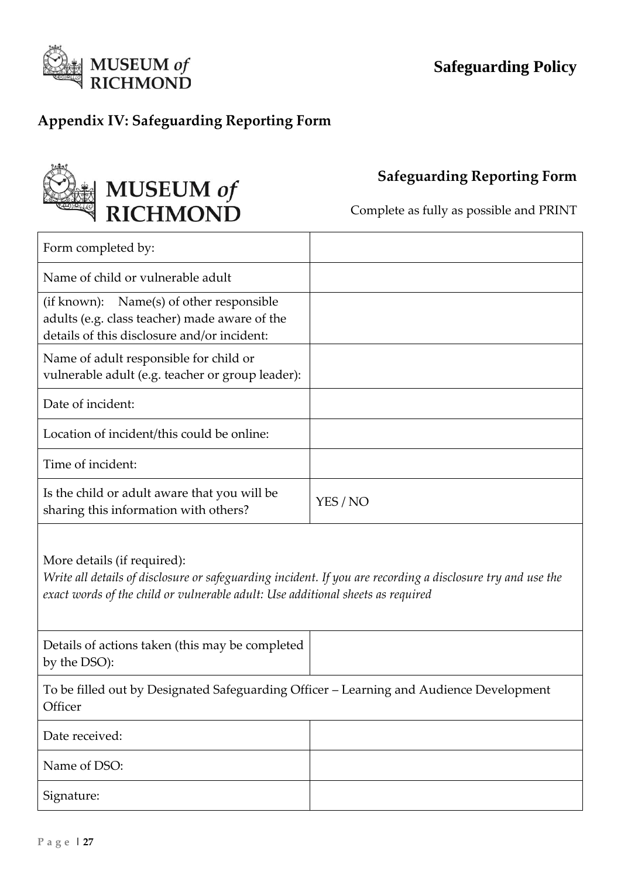

# <span id="page-27-0"></span>**Appendix IV: Safeguarding Reporting Form**



# **Safeguarding Reporting Form**

Complete as fully as possible and PRINT

| Form completed by:                                                                                                                                                                                                            |          |  |  |  |
|-------------------------------------------------------------------------------------------------------------------------------------------------------------------------------------------------------------------------------|----------|--|--|--|
| Name of child or vulnerable adult                                                                                                                                                                                             |          |  |  |  |
| (if known): Name(s) of other responsible<br>adults (e.g. class teacher) made aware of the<br>details of this disclosure and/or incident:                                                                                      |          |  |  |  |
| Name of adult responsible for child or<br>vulnerable adult (e.g. teacher or group leader):                                                                                                                                    |          |  |  |  |
| Date of incident:                                                                                                                                                                                                             |          |  |  |  |
| Location of incident/this could be online:                                                                                                                                                                                    |          |  |  |  |
| Time of incident:                                                                                                                                                                                                             |          |  |  |  |
| Is the child or adult aware that you will be<br>sharing this information with others?                                                                                                                                         | YES / NO |  |  |  |
| More details (if required):<br>Write all details of disclosure or safeguarding incident. If you are recording a disclosure try and use the<br>exact words of the child or vulnerable adult: Use additional sheets as required |          |  |  |  |
| Details of actions taken (this may be completed<br>by the DSO):                                                                                                                                                               |          |  |  |  |
| To be filled out by Designated Safeguarding Officer - Learning and Audience Development<br>Officer                                                                                                                            |          |  |  |  |
| Date received:                                                                                                                                                                                                                |          |  |  |  |
| Name of DSO:                                                                                                                                                                                                                  |          |  |  |  |
| Signature:                                                                                                                                                                                                                    |          |  |  |  |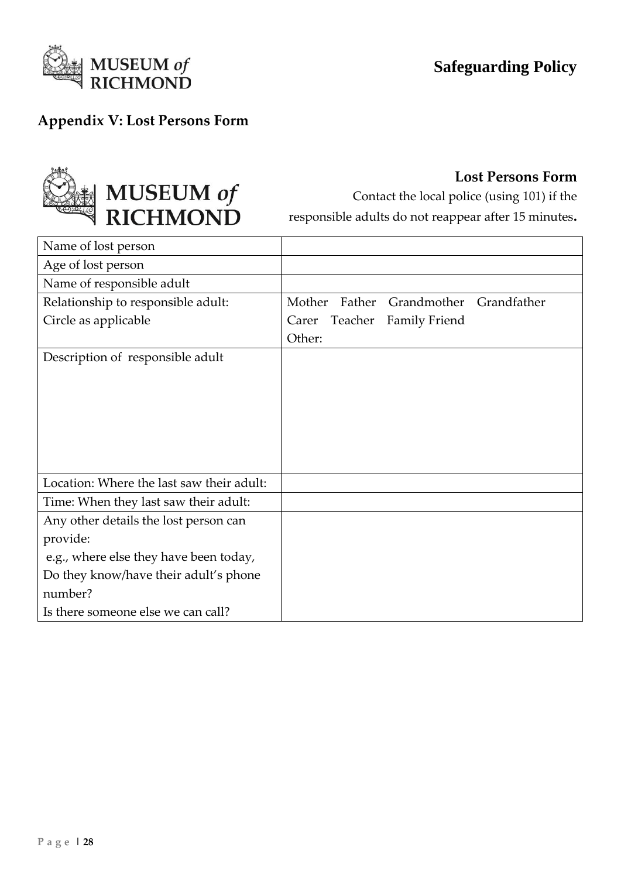

## <span id="page-28-0"></span>**Appendix V: Lost Persons Form**



**Lost Persons Form**

Contact the local police (using 101) if the responsible adults do not reappear after 15 minutes**.**

| Name of lost person                       |                  |                       |             |
|-------------------------------------------|------------------|-----------------------|-------------|
| Age of lost person                        |                  |                       |             |
| Name of responsible adult                 |                  |                       |             |
| Relationship to responsible adult:        | Father<br>Mother | Grandmother           | Grandfather |
| Circle as applicable                      | Carer            | Teacher Family Friend |             |
|                                           | Other:           |                       |             |
| Description of responsible adult          |                  |                       |             |
|                                           |                  |                       |             |
|                                           |                  |                       |             |
|                                           |                  |                       |             |
|                                           |                  |                       |             |
|                                           |                  |                       |             |
|                                           |                  |                       |             |
| Location: Where the last saw their adult: |                  |                       |             |
| Time: When they last saw their adult:     |                  |                       |             |
| Any other details the lost person can     |                  |                       |             |
| provide:                                  |                  |                       |             |
| e.g., where else they have been today,    |                  |                       |             |
| Do they know/have their adult's phone     |                  |                       |             |
| number?                                   |                  |                       |             |
| Is there someone else we can call?        |                  |                       |             |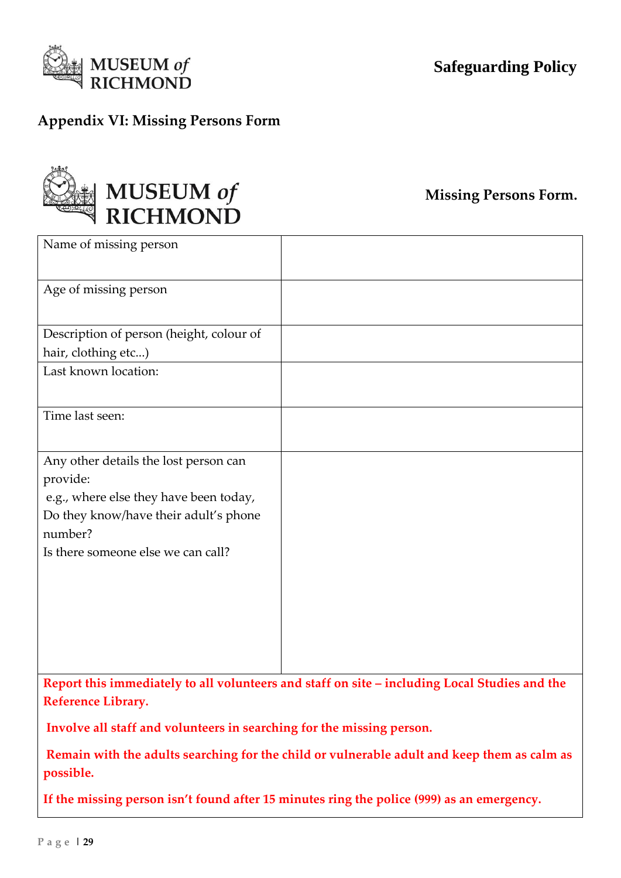

# <span id="page-29-0"></span>**Appendix VI: Missing Persons Form**



**Safeguarding Policy**

**Missing Persons Form.**

| Name of missing person                   |                                                                                               |
|------------------------------------------|-----------------------------------------------------------------------------------------------|
|                                          |                                                                                               |
| Age of missing person                    |                                                                                               |
|                                          |                                                                                               |
| Description of person (height, colour of |                                                                                               |
| hair, clothing etc)                      |                                                                                               |
| Last known location:                     |                                                                                               |
|                                          |                                                                                               |
| Time last seen:                          |                                                                                               |
|                                          |                                                                                               |
|                                          |                                                                                               |
| Any other details the lost person can    |                                                                                               |
| provide:                                 |                                                                                               |
| e.g., where else they have been today,   |                                                                                               |
| Do they know/have their adult's phone    |                                                                                               |
| number?                                  |                                                                                               |
| Is there someone else we can call?       |                                                                                               |
|                                          |                                                                                               |
|                                          |                                                                                               |
|                                          |                                                                                               |
|                                          |                                                                                               |
|                                          |                                                                                               |
|                                          |                                                                                               |
|                                          |                                                                                               |
|                                          | Donaut this immediately to all unlaute and and staff on aite. In duding Local Otadice and the |

**Report this immediately to all volunteers and staff on site – including Local Studies and the Reference Library.**

**Involve all staff and volunteers in searching for the missing person.**

**Remain with the adults searching for the child or vulnerable adult and keep them as calm as possible.**

<span id="page-29-1"></span>**If the missing person isn't found after 15 minutes ring the police (999) as an emergency.**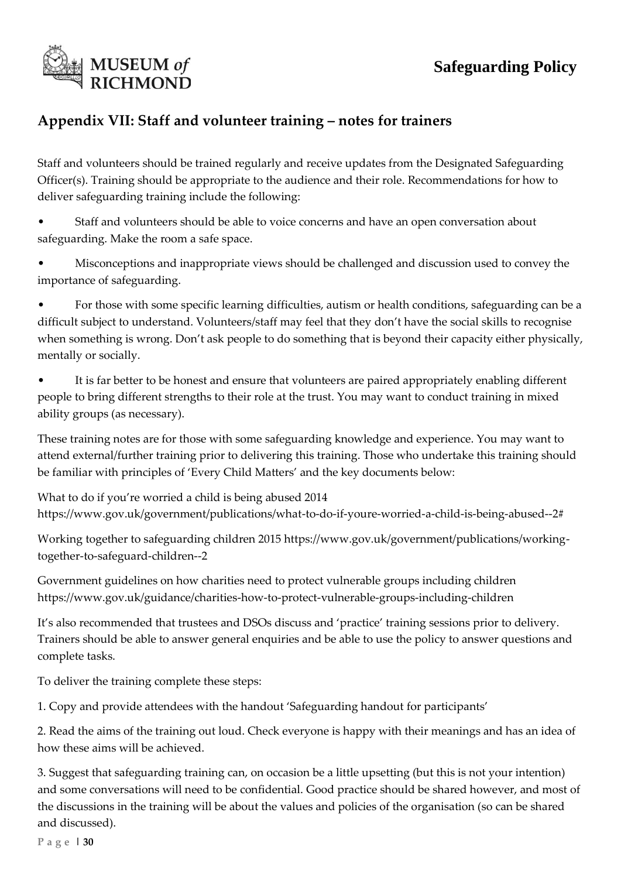

## <span id="page-30-0"></span>**Appendix VII: Staff and volunteer training – notes for trainers**

Staff and volunteers should be trained regularly and receive updates from the Designated Safeguarding Officer(s). Training should be appropriate to the audience and their role. Recommendations for how to deliver safeguarding training include the following:

• Staff and volunteers should be able to voice concerns and have an open conversation about safeguarding. Make the room a safe space.

• Misconceptions and inappropriate views should be challenged and discussion used to convey the importance of safeguarding.

• For those with some specific learning difficulties, autism or health conditions, safeguarding can be a difficult subject to understand. Volunteers/staff may feel that they don't have the social skills to recognise when something is wrong. Don't ask people to do something that is beyond their capacity either physically, mentally or socially.

It is far better to be honest and ensure that volunteers are paired appropriately enabling different people to bring different strengths to their role at the trust. You may want to conduct training in mixed ability groups (as necessary).

These training notes are for those with some safeguarding knowledge and experience. You may want to attend external/further training prior to delivering this training. Those who undertake this training should be familiar with principles of 'Every Child Matters' and the key documents below:

What to do if you're worried a child is being abused 2014 https://www.gov.uk/government/publications/what-to-do-if-youre-worried-a-child-is-being-abused--2#

Working together to safeguarding children 2015 https://www.gov.uk/government/publications/workingtogether-to-safeguard-children--2

Government guidelines on how charities need to protect vulnerable groups including children https://www.gov.uk/guidance/charities-how-to-protect-vulnerable-groups-including-children

It's also recommended that trustees and DSOs discuss and 'practice' training sessions prior to delivery. Trainers should be able to answer general enquiries and be able to use the policy to answer questions and complete tasks.

To deliver the training complete these steps:

1. Copy and provide attendees with the handout 'Safeguarding handout for participants'

2. Read the aims of the training out loud. Check everyone is happy with their meanings and has an idea of how these aims will be achieved.

3. Suggest that safeguarding training can, on occasion be a little upsetting (but this is not your intention) and some conversations will need to be confidential. Good practice should be shared however, and most of the discussions in the training will be about the values and policies of the organisation (so can be shared and discussed).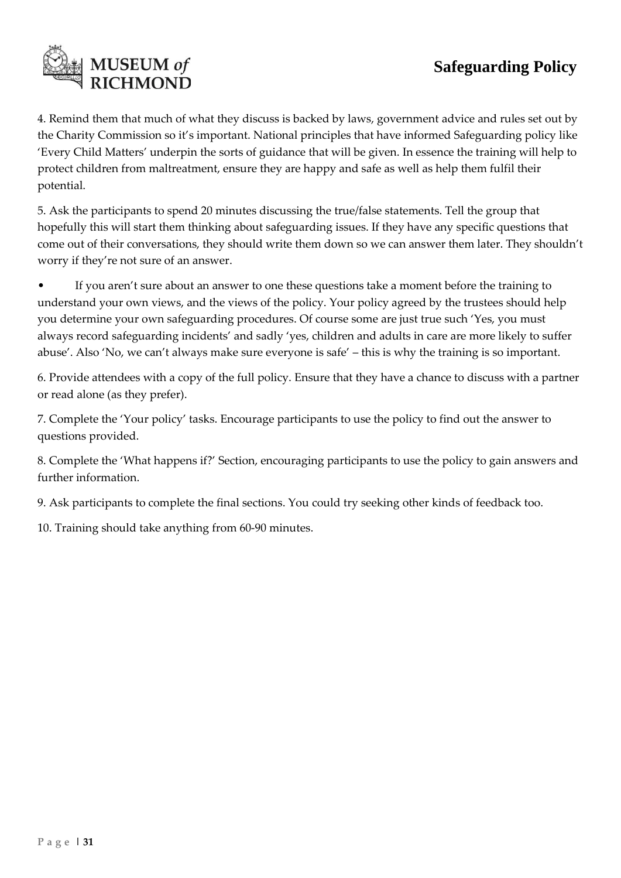

4. Remind them that much of what they discuss is backed by laws, government advice and rules set out by the Charity Commission so it's important. National principles that have informed Safeguarding policy like 'Every Child Matters' underpin the sorts of guidance that will be given. In essence the training will help to protect children from maltreatment, ensure they are happy and safe as well as help them fulfil their potential.

5. Ask the participants to spend 20 minutes discussing the true/false statements. Tell the group that hopefully this will start them thinking about safeguarding issues. If they have any specific questions that come out of their conversations, they should write them down so we can answer them later. They shouldn't worry if they're not sure of an answer.

If you aren't sure about an answer to one these questions take a moment before the training to understand your own views, and the views of the policy. Your policy agreed by the trustees should help you determine your own safeguarding procedures. Of course some are just true such 'Yes, you must always record safeguarding incidents' and sadly 'yes, children and adults in care are more likely to suffer abuse'. Also 'No, we can't always make sure everyone is safe' – this is why the training is so important.

6. Provide attendees with a copy of the full policy. Ensure that they have a chance to discuss with a partner or read alone (as they prefer).

7. Complete the 'Your policy' tasks. Encourage participants to use the policy to find out the answer to questions provided.

8. Complete the 'What happens if?' Section, encouraging participants to use the policy to gain answers and further information.

9. Ask participants to complete the final sections. You could try seeking other kinds of feedback too.

10. Training should take anything from 60-90 minutes.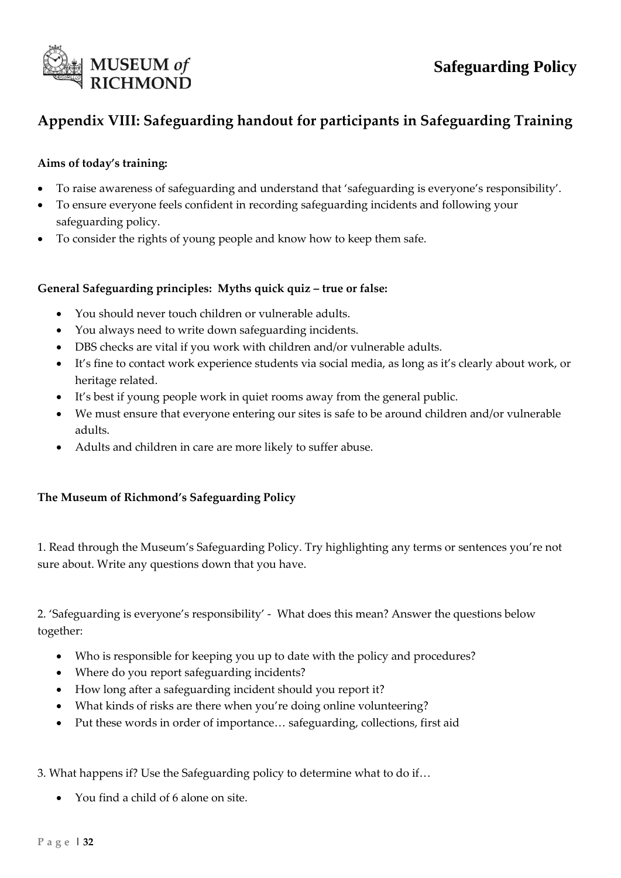

## <span id="page-32-0"></span>**Appendix VIII: Safeguarding handout for participants in Safeguarding Training**

#### **Aims of today's training:**

- To raise awareness of safeguarding and understand that 'safeguarding is everyone's responsibility'.
- To ensure everyone feels confident in recording safeguarding incidents and following your safeguarding policy.
- To consider the rights of young people and know how to keep them safe.

#### **General Safeguarding principles: Myths quick quiz – true or false:**

- You should never touch children or vulnerable adults.
- You always need to write down safeguarding incidents.
- DBS checks are vital if you work with children and/or vulnerable adults.
- It's fine to contact work experience students via social media, as long as it's clearly about work, or heritage related.
- It's best if young people work in quiet rooms away from the general public.
- We must ensure that everyone entering our sites is safe to be around children and/or vulnerable adults.
- Adults and children in care are more likely to suffer abuse.

#### **The Museum of Richmond's Safeguarding Policy**

1. Read through the Museum's Safeguarding Policy. Try highlighting any terms or sentences you're not sure about. Write any questions down that you have.

2. 'Safeguarding is everyone's responsibility' - What does this mean? Answer the questions below together:

- Who is responsible for keeping you up to date with the policy and procedures?
- Where do you report safeguarding incidents?
- How long after a safeguarding incident should you report it?
- What kinds of risks are there when you're doing online volunteering?
- Put these words in order of importance… safeguarding, collections, first aid

3. What happens if? Use the Safeguarding policy to determine what to do if…

• You find a child of 6 alone on site.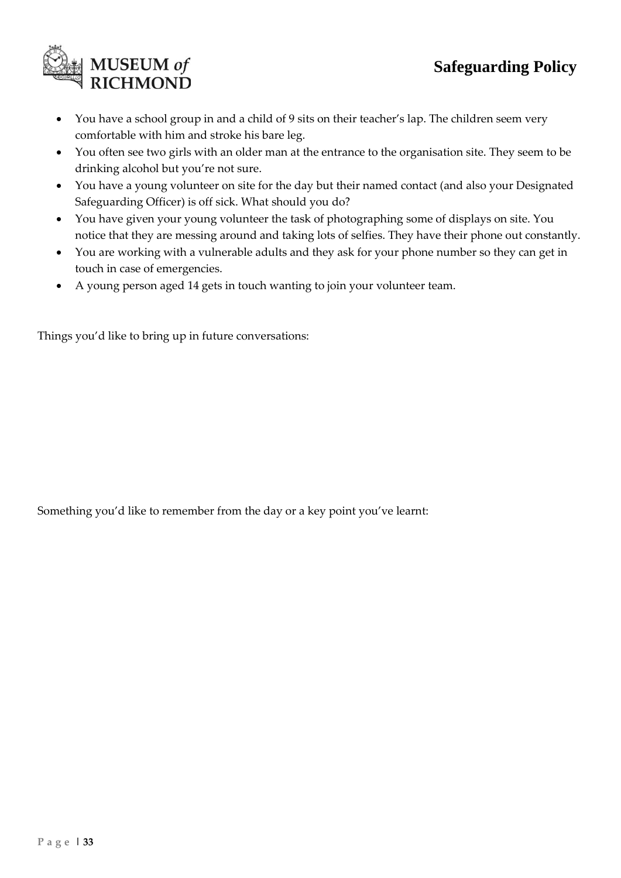

- You have a school group in and a child of 9 sits on their teacher's lap. The children seem very comfortable with him and stroke his bare leg.
- You often see two girls with an older man at the entrance to the organisation site. They seem to be drinking alcohol but you're not sure.
- You have a young volunteer on site for the day but their named contact (and also your Designated Safeguarding Officer) is off sick. What should you do?
- You have given your young volunteer the task of photographing some of displays on site. You notice that they are messing around and taking lots of selfies. They have their phone out constantly.
- You are working with a vulnerable adults and they ask for your phone number so they can get in touch in case of emergencies.
- A young person aged 14 gets in touch wanting to join your volunteer team.

Things you'd like to bring up in future conversations:

Something you'd like to remember from the day or a key point you've learnt: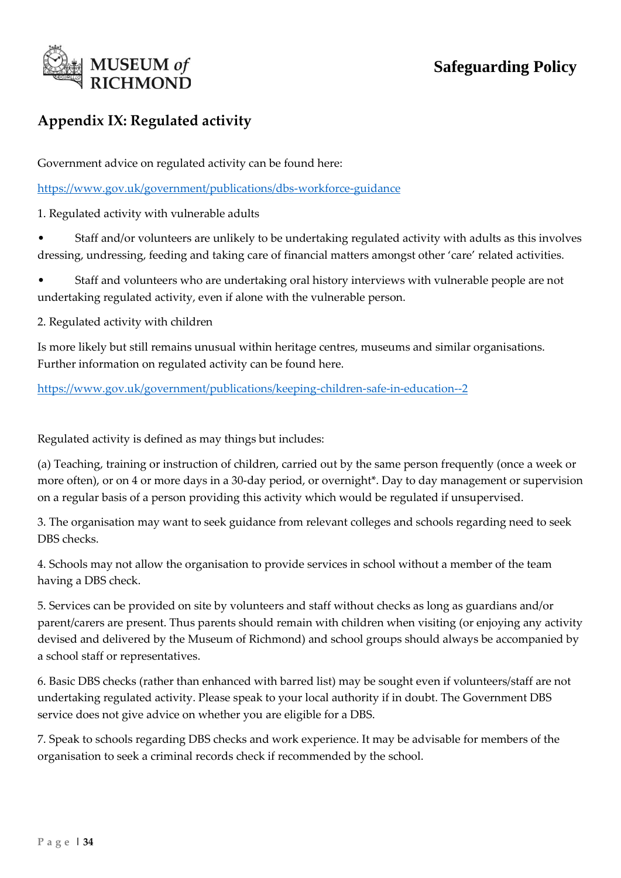

# <span id="page-34-0"></span>**Appendix IX: Regulated activity**

Government advice on regulated activity can be found here:

<https://www.gov.uk/government/publications/dbs-workforce-guidance>

1. Regulated activity with vulnerable adults

• Staff and/or volunteers are unlikely to be undertaking regulated activity with adults as this involves dressing, undressing, feeding and taking care of financial matters amongst other 'care' related activities.

• Staff and volunteers who are undertaking oral history interviews with vulnerable people are not undertaking regulated activity, even if alone with the vulnerable person.

2. Regulated activity with children

Is more likely but still remains unusual within heritage centres, museums and similar organisations. Further information on regulated activity can be found here.

<https://www.gov.uk/government/publications/keeping-children-safe-in-education--2>

Regulated activity is defined as may things but includes:

(a) Teaching, training or instruction of children, carried out by the same person frequently (once a week or more often), or on 4 or more days in a 30-day period, or overnight\*. Day to day management or supervision on a regular basis of a person providing this activity which would be regulated if unsupervised.

3. The organisation may want to seek guidance from relevant colleges and schools regarding need to seek DBS checks.

4. Schools may not allow the organisation to provide services in school without a member of the team having a DBS check.

5. Services can be provided on site by volunteers and staff without checks as long as guardians and/or parent/carers are present. Thus parents should remain with children when visiting (or enjoying any activity devised and delivered by the Museum of Richmond) and school groups should always be accompanied by a school staff or representatives.

6. Basic DBS checks (rather than enhanced with barred list) may be sought even if volunteers/staff are not undertaking regulated activity. Please speak to your local authority if in doubt. The Government DBS service does not give advice on whether you are eligible for a DBS.

7. Speak to schools regarding DBS checks and work experience. It may be advisable for members of the organisation to seek a criminal records check if recommended by the school.